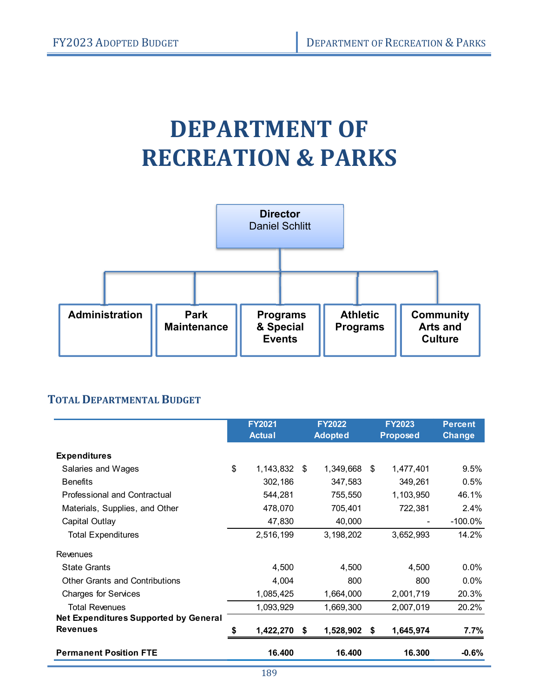# **DEPARTMENT OF RECREATION & PARKS**



### **TOTAL DEPARTMENTAL BUDGET**

|                                              | <b>FY2021</b><br><b>Actual</b> |      | <b>FY2022</b><br><b>Adopted</b> | <b>FY2023</b><br><b>Proposed</b> | <b>Percent</b><br><b>Change</b> |
|----------------------------------------------|--------------------------------|------|---------------------------------|----------------------------------|---------------------------------|
| <b>Expenditures</b>                          |                                |      |                                 |                                  |                                 |
| Salaries and Wages                           | \$<br>1,143,832                | \$   | 1,349,668                       | \$<br>1,477,401                  | 9.5%                            |
| <b>Benefits</b>                              | 302,186                        |      | 347,583                         | 349,261                          | 0.5%                            |
| Professional and Contractual                 | 544,281                        |      | 755,550                         | 1,103,950                        | 46.1%                           |
| Materials, Supplies, and Other               | 478,070                        |      | 705,401                         | 722,381                          | 2.4%                            |
| Capital Outlay                               | 47,830                         |      | 40,000                          |                                  | $-100.0\%$                      |
| <b>Total Expenditures</b>                    | 2,516,199                      |      | 3,198,202                       | 3,652,993                        | 14.2%                           |
| Revenues                                     |                                |      |                                 |                                  |                                 |
| <b>State Grants</b>                          | 4,500                          |      | 4,500                           | 4.500                            | $0.0\%$                         |
| <b>Other Grants and Contributions</b>        | 4,004                          |      | 800                             | 800                              | $0.0\%$                         |
| <b>Charges for Services</b>                  | 1,085,425                      |      | 1,664,000                       | 2,001,719                        | 20.3%                           |
| <b>Total Revenues</b>                        | 1,093,929                      |      | 1,669,300                       | 2,007,019                        | 20.2%                           |
| <b>Net Expenditures Supported by General</b> |                                |      |                                 |                                  |                                 |
| <b>Revenues</b>                              | 1,422,270                      | - \$ | 1,528,902 \$                    | 1,645,974                        | $7.7\%$                         |
| <b>Permanent Position FTE</b>                | 16.400                         |      | 16.400                          | 16.300                           | $-0.6%$                         |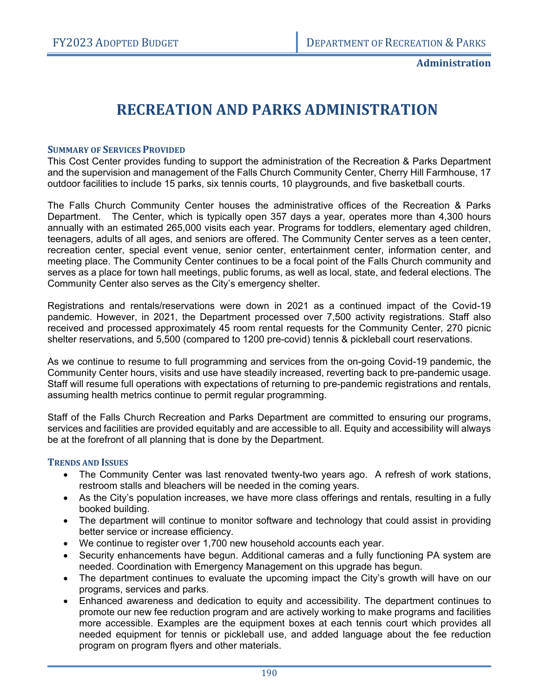# **RECREATION AND PARKS ADMINISTRATION**

#### **SUMMARY OF SERVICES PROVIDED**

This Cost Center provides funding to support the administration of the Recreation & Parks Department and the supervision and management of the Falls Church Community Center, Cherry Hill Farmhouse, 17 outdoor facilities to include 15 parks, six tennis courts, 10 playgrounds, and five basketball courts.

The Falls Church Community Center houses the administrative offices of the Recreation & Parks Department. The Center, which is typically open 357 days a year, operates more than 4,300 hours annually with an estimated 265,000 visits each year. Programs for toddlers, elementary aged children, teenagers, adults of all ages, and seniors are offered. The Community Center serves as a teen center, recreation center, special event venue, senior center, entertainment center, information center, and meeting place. The Community Center continues to be a focal point of the Falls Church community and serves as a place for town hall meetings, public forums, as well as local, state, and federal elections. The Community Center also serves as the City's emergency shelter.

Registrations and rentals/reservations were down in 2021 as a continued impact of the Covid-19 pandemic. However, in 2021, the Department processed over 7,500 activity registrations. Staff also received and processed approximately 45 room rental requests for the Community Center, 270 picnic shelter reservations, and 5,500 (compared to 1200 pre-covid) tennis & pickleball court reservations.

As we continue to resume to full programming and services from the on-going Covid-19 pandemic, the Community Center hours, visits and use have steadily increased, reverting back to pre-pandemic usage. Staff will resume full operations with expectations of returning to pre-pandemic registrations and rentals, assuming health metrics continue to permit regular programming.

Staff of the Falls Church Recreation and Parks Department are committed to ensuring our programs, services and facilities are provided equitably and are accessible to all. Equity and accessibility will always be at the forefront of all planning that is done by the Department.

#### **TRENDS AND ISSUES**

- The Community Center was last renovated twenty-two years ago. A refresh of work stations, restroom stalls and bleachers will be needed in the coming years.
- As the City's population increases, we have more class offerings and rentals, resulting in a fully booked building.
- The department will continue to monitor software and technology that could assist in providing better service or increase efficiency.
- We continue to register over 1,700 new household accounts each year.
- Security enhancements have begun. Additional cameras and a fully functioning PA system are needed. Coordination with Emergency Management on this upgrade has begun.
- The department continues to evaluate the upcoming impact the City's growth will have on our programs, services and parks.
- Enhanced awareness and dedication to equity and accessibility. The department continues to promote our new fee reduction program and are actively working to make programs and facilities more accessible. Examples are the equipment boxes at each tennis court which provides all needed equipment for tennis or pickleball use, and added language about the fee reduction program on program flyers and other materials.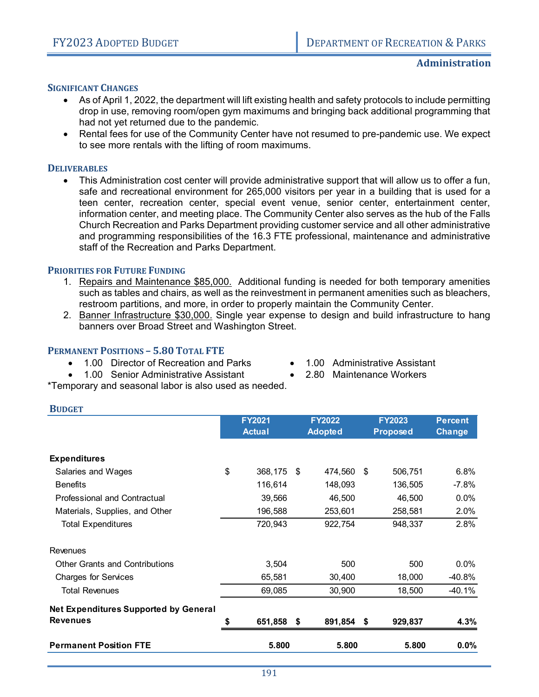#### **SIGNIFICANT CHANGES**

- As of April 1, 2022, the department will lift existing health and safety protocols to include permitting drop in use, removing room/open gym maximums and bringing back additional programming that had not yet returned due to the pandemic.
- Rental fees for use of the Community Center have not resumed to pre-pandemic use. We expect to see more rentals with the lifting of room maximums.

#### **DELIVERABLES**

**BUDGET**

 This Administration cost center will provide administrative support that will allow us to offer a fun, safe and recreational environment for 265,000 visitors per year in a building that is used for a teen center, recreation center, special event venue, senior center, entertainment center, information center, and meeting place. The Community Center also serves as the hub of the Falls Church Recreation and Parks Department providing customer service and all other administrative and programming responsibilities of the 16.3 FTE professional, maintenance and administrative staff of the Recreation and Parks Department.

#### **PRIORITIES FOR FUTURE FUNDING**

- 1. Repairs and Maintenance \$85,000. Additional funding is needed for both temporary amenities such as tables and chairs, as well as the reinvestment in permanent amenities such as bleachers, restroom partitions, and more, in order to properly maintain the Community Center.
- 2. Banner Infrastructure \$30,000. Single year expense to design and build infrastructure to hang banners over Broad Street and Washington Street.

#### **PERMANENT POSITIONS – 5.80 TOTAL FTE**

- 1.00 Director of Recreation and Parks
- 1.00 Senior Administrative Assistant
- 1.00 Administrative Assistant
	- 2.80 Maintenance Workers

\*Temporary and seasonal labor is also used as needed.

|                                              |    | <b>FY2021</b><br><b>Actual</b> | <b>FY2022</b><br><b>Adopted</b> | <b>FY2023</b><br><b>Proposed</b> | <b>Percent</b><br><b>Change</b> |
|----------------------------------------------|----|--------------------------------|---------------------------------|----------------------------------|---------------------------------|
| <b>Expenditures</b>                          |    |                                |                                 |                                  |                                 |
| Salaries and Wages                           | \$ | 368,175 \$                     | 474,560 \$                      | 506,751                          | 6.8%                            |
| <b>Benefits</b>                              |    | 116,614                        | 148,093                         | 136,505                          | $-7.8%$                         |
| Professional and Contractual                 |    | 39,566                         | 46,500                          | 46,500                           | 0.0%                            |
| Materials, Supplies, and Other               |    | 196,588                        | 253,601                         | 258,581                          | 2.0%                            |
| <b>Total Expenditures</b>                    |    | 720,943                        | 922,754                         | 948,337                          | 2.8%                            |
| <b>Revenues</b>                              |    |                                |                                 |                                  |                                 |
| <b>Other Grants and Contributions</b>        |    | 3,504                          | 500                             | 500                              | 0.0%                            |
| <b>Charges for Services</b>                  |    | 65,581                         | 30,400                          | 18,000                           | -40.8%                          |
| <b>Total Revenues</b>                        |    | 69,085                         | 30,900                          | 18,500                           | -40.1%                          |
| <b>Net Expenditures Supported by General</b> |    |                                |                                 |                                  |                                 |
| <b>Revenues</b>                              | S  | 651,858                        | \$<br>891,854                   | \$<br>929,837                    | 4.3%                            |
| <b>Permanent Position FTE</b>                |    | 5.800                          | 5.800                           | 5.800                            | $0.0\%$                         |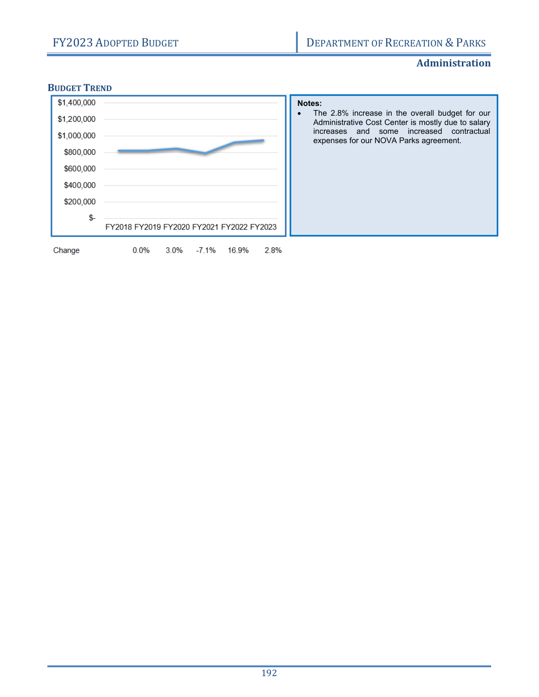#### **Administration**

#### **BUDGET TREND**

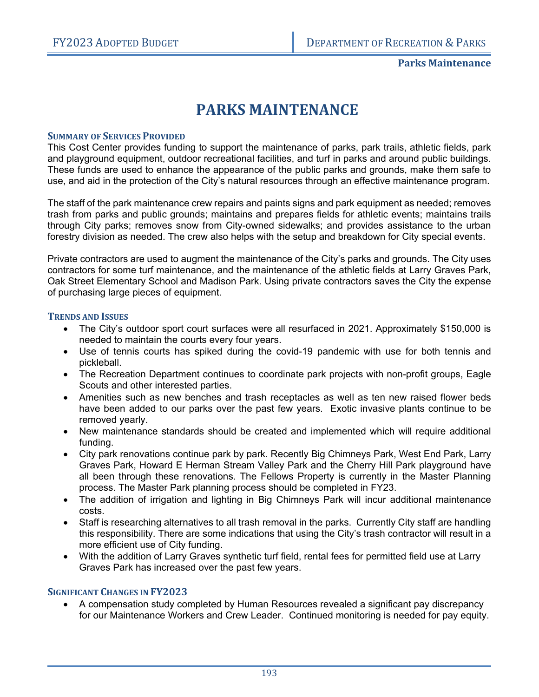# **PARKS MAINTENANCE**

#### **SUMMARY OF SERVICES PROVIDED**

This Cost Center provides funding to support the maintenance of parks, park trails, athletic fields, park and playground equipment, outdoor recreational facilities, and turf in parks and around public buildings. These funds are used to enhance the appearance of the public parks and grounds, make them safe to use, and aid in the protection of the City's natural resources through an effective maintenance program.

The staff of the park maintenance crew repairs and paints signs and park equipment as needed; removes trash from parks and public grounds; maintains and prepares fields for athletic events; maintains trails through City parks; removes snow from City-owned sidewalks; and provides assistance to the urban forestry division as needed. The crew also helps with the setup and breakdown for City special events.

Private contractors are used to augment the maintenance of the City's parks and grounds. The City uses contractors for some turf maintenance, and the maintenance of the athletic fields at Larry Graves Park, Oak Street Elementary School and Madison Park. Using private contractors saves the City the expense of purchasing large pieces of equipment.

#### **TRENDS AND ISSUES**

- The City's outdoor sport court surfaces were all resurfaced in 2021. Approximately \$150,000 is needed to maintain the courts every four years.
- Use of tennis courts has spiked during the covid-19 pandemic with use for both tennis and pickleball.
- The Recreation Department continues to coordinate park projects with non-profit groups, Eagle Scouts and other interested parties.
- Amenities such as new benches and trash receptacles as well as ten new raised flower beds have been added to our parks over the past few years. Exotic invasive plants continue to be removed yearly.
- New maintenance standards should be created and implemented which will require additional funding.
- City park renovations continue park by park. Recently Big Chimneys Park, West End Park, Larry Graves Park, Howard E Herman Stream Valley Park and the Cherry Hill Park playground have all been through these renovations. The Fellows Property is currently in the Master Planning process. The Master Park planning process should be completed in FY23.
- The addition of irrigation and lighting in Big Chimneys Park will incur additional maintenance costs.
- Staff is researching alternatives to all trash removal in the parks. Currently City staff are handling this responsibility. There are some indications that using the City's trash contractor will result in a more efficient use of City funding.
- With the addition of Larry Graves synthetic turf field, rental fees for permitted field use at Larry Graves Park has increased over the past few years.

#### **SIGNIFICANT CHANGES IN FY2023**

 A compensation study completed by Human Resources revealed a significant pay discrepancy for our Maintenance Workers and Crew Leader. Continued monitoring is needed for pay equity.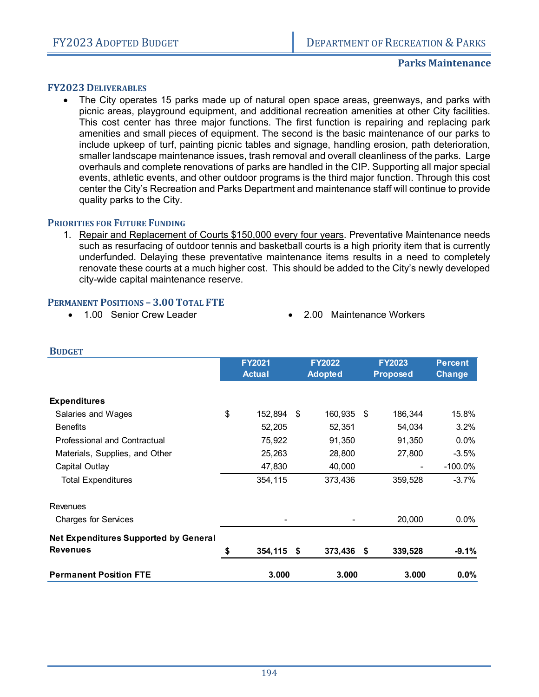#### **Parks Maintenance**

#### **FY2023 DELIVERABLES**

 The City operates 15 parks made up of natural open space areas, greenways, and parks with picnic areas, playground equipment, and additional recreation amenities at other City facilities. This cost center has three major functions. The first function is repairing and replacing park amenities and small pieces of equipment. The second is the basic maintenance of our parks to include upkeep of turf, painting picnic tables and signage, handling erosion, path deterioration, smaller landscape maintenance issues, trash removal and overall cleanliness of the parks. Large overhauls and complete renovations of parks are handled in the CIP. Supporting all major special events, athletic events, and other outdoor programs is the third major function. Through this cost center the City's Recreation and Parks Department and maintenance staff will continue to provide quality parks to the City.

#### **PRIORITIES FOR FUTURE FUNDING**

1. Repair and Replacement of Courts \$150,000 every four years. Preventative Maintenance needs such as resurfacing of outdoor tennis and basketball courts is a high priority item that is currently underfunded. Delaying these preventative maintenance items results in a need to completely renovate these courts at a much higher cost. This should be added to the City's newly developed city-wide capital maintenance reserve.

#### **PERMANENT POSITIONS – 3.00 TOTAL FTE**

- 
- 1.00 Senior Crew Leader 2.00 Maintenance Workers

| <b>DUDGEI</b>                                |    |               |                |     |                 |                |
|----------------------------------------------|----|---------------|----------------|-----|-----------------|----------------|
|                                              |    | <b>FY2021</b> | <b>FY2022</b>  |     | <b>FY2023</b>   | <b>Percent</b> |
|                                              |    | <b>Actual</b> | <b>Adopted</b> |     | <b>Proposed</b> | Change         |
| <b>Expenditures</b>                          |    |               |                |     |                 |                |
| Salaries and Wages                           | \$ | 152,894       | \$<br>160,935  | -\$ | 186,344         | 15.8%          |
| <b>Benefits</b>                              |    | 52,205        | 52,351         |     | 54,034          | 3.2%           |
| Professional and Contractual                 |    | 75,922        | 91,350         |     | 91,350          | 0.0%           |
| Materials, Supplies, and Other               |    | 25,263        | 28,800         |     | 27,800          | $-3.5%$        |
| Capital Outlay                               |    | 47,830        | 40,000         |     |                 | $-100.0\%$     |
| <b>Total Expenditures</b>                    |    | 354,115       | 373,436        |     | 359,528         | $-3.7%$        |
| Revenues                                     |    |               |                |     |                 |                |
| <b>Charges for Services</b>                  |    |               |                |     | 20,000          | $0.0\%$        |
| <b>Net Expenditures Supported by General</b> |    |               |                |     |                 |                |
| <b>Revenues</b>                              | S  | 354,115 \$    | 373,436 \$     |     | 339,528         | $-9.1%$        |
| <b>Permanent Position FTE</b>                |    | 3.000         | 3.000          |     | 3.000           | $0.0\%$        |

#### **BUDGET**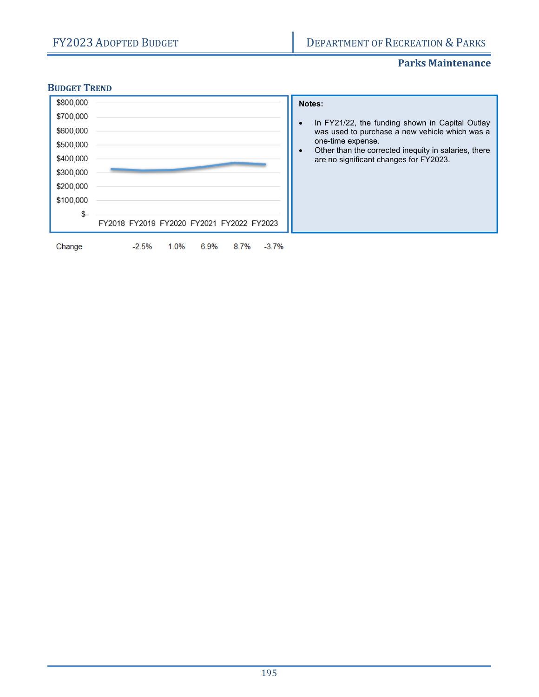#### **Parks Maintenance**

#### **BUDGET TREND**

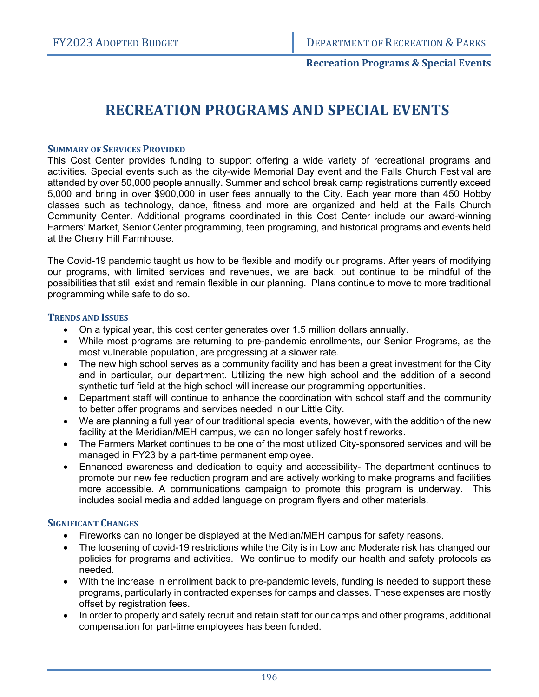#### **Recreation Programs & Special Events**

# **RECREATION PROGRAMS AND SPECIAL EVENTS**

#### **SUMMARY OF SERVICES PROVIDED**

This Cost Center provides funding to support offering a wide variety of recreational programs and activities. Special events such as the city-wide Memorial Day event and the Falls Church Festival are attended by over 50,000 people annually. Summer and school break camp registrations currently exceed 5,000 and bring in over \$900,000 in user fees annually to the City. Each year more than 450 Hobby classes such as technology, dance, fitness and more are organized and held at the Falls Church Community Center. Additional programs coordinated in this Cost Center include our award-winning Farmers' Market, Senior Center programming, teen programing, and historical programs and events held at the Cherry Hill Farmhouse.

The Covid-19 pandemic taught us how to be flexible and modify our programs. After years of modifying our programs, with limited services and revenues, we are back, but continue to be mindful of the possibilities that still exist and remain flexible in our planning. Plans continue to move to more traditional programming while safe to do so.

#### **TRENDS AND ISSUES**

- On a typical year, this cost center generates over 1.5 million dollars annually.
- While most programs are returning to pre-pandemic enrollments, our Senior Programs, as the most vulnerable population, are progressing at a slower rate.
- The new high school serves as a community facility and has been a great investment for the City and in particular, our department. Utilizing the new high school and the addition of a second synthetic turf field at the high school will increase our programming opportunities.
- Department staff will continue to enhance the coordination with school staff and the community to better offer programs and services needed in our Little City.
- We are planning a full year of our traditional special events, however, with the addition of the new facility at the Meridian/MEH campus, we can no longer safely host fireworks.
- The Farmers Market continues to be one of the most utilized City-sponsored services and will be managed in FY23 by a part-time permanent employee.
- Enhanced awareness and dedication to equity and accessibility- The department continues to promote our new fee reduction program and are actively working to make programs and facilities more accessible. A communications campaign to promote this program is underway. This includes social media and added language on program flyers and other materials.

#### **SIGNIFICANT CHANGES**

- Fireworks can no longer be displayed at the Median/MEH campus for safety reasons.
- The loosening of covid-19 restrictions while the City is in Low and Moderate risk has changed our policies for programs and activities. We continue to modify our health and safety protocols as needed.
- With the increase in enrollment back to pre-pandemic levels, funding is needed to support these programs, particularly in contracted expenses for camps and classes. These expenses are mostly offset by registration fees.
- In order to properly and safely recruit and retain staff for our camps and other programs, additional compensation for part-time employees has been funded.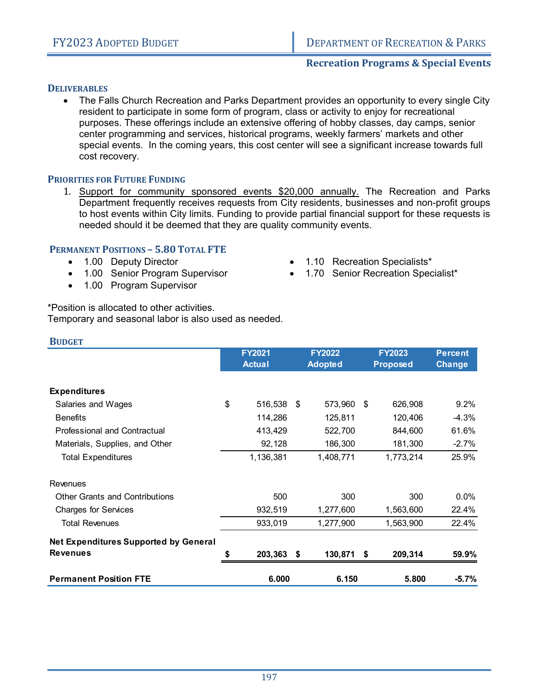#### **Recreation Programs & Special Events**

#### **DELIVERABLES**

 The Falls Church Recreation and Parks Department provides an opportunity to every single City resident to participate in some form of program, class or activity to enjoy for recreational purposes. These offerings include an extensive offering of hobby classes, day camps, senior center programming and services, historical programs, weekly farmers' markets and other special events. In the coming years, this cost center will see a significant increase towards full cost recovery.

#### **PRIORITIES FOR FUTURE FUNDING**

1. Support for community sponsored events \$20,000 annually. The Recreation and Parks Department frequently receives requests from City residents, businesses and non-profit groups to host events within City limits. Funding to provide partial financial support for these requests is needed should it be deemed that they are quality community events.

#### **PERMANENT POSITIONS – 5.80 TOTAL FTE**

- 1.00 Deputy Director
- 1.00 Senior Program Supervisor
- 1.00 Program Supervisor
- 1.10 Recreation Specialists\*
- 1.70 Senior Recreation Specialist\*

\*Position is allocated to other activities. Temporary and seasonal labor is also used as needed.

| <b>BUDGET</b>                                |                                |                                 |      |                                  |                                 |
|----------------------------------------------|--------------------------------|---------------------------------|------|----------------------------------|---------------------------------|
|                                              | <b>FY2021</b><br><b>Actual</b> | <b>FY2022</b><br><b>Adopted</b> |      | <b>FY2023</b><br><b>Proposed</b> | <b>Percent</b><br><b>Change</b> |
| <b>Expenditures</b>                          |                                |                                 |      |                                  |                                 |
| Salaries and Wages                           | \$<br>516,538                  | \$<br>573,960                   | \$   | 626,908                          | 9.2%                            |
| <b>Benefits</b>                              | 114,286                        | 125,811                         |      | 120,406                          | $-4.3%$                         |
| <b>Professional and Contractual</b>          | 413,429                        | 522,700                         |      | 844,600                          | 61.6%                           |
| Materials, Supplies, and Other               | 92,128                         | 186,300                         |      | 181,300                          | $-2.7%$                         |
| <b>Total Expenditures</b>                    | 1,136,381                      | 1,408,771                       |      | 1,773,214                        | 25.9%                           |
| Revenues                                     |                                |                                 |      |                                  |                                 |
| <b>Other Grants and Contributions</b>        | 500                            | 300                             |      | 300                              | $0.0\%$                         |
| <b>Charges for Services</b>                  | 932,519                        | 1,277,600                       |      | 1,563,600                        | 22.4%                           |
| <b>Total Revenues</b>                        | 933,019                        | 1,277,900                       |      | 1,563,900                        | 22.4%                           |
| <b>Net Expenditures Supported by General</b> |                                |                                 |      |                                  |                                 |
| <b>Revenues</b>                              | \$<br>203,363 \$               | 130,871                         | - \$ | 209,314                          | 59.9%                           |
| <b>Permanent Position FTE</b>                | 6.000                          | 6.150                           |      | 5.800                            | $-5.7%$                         |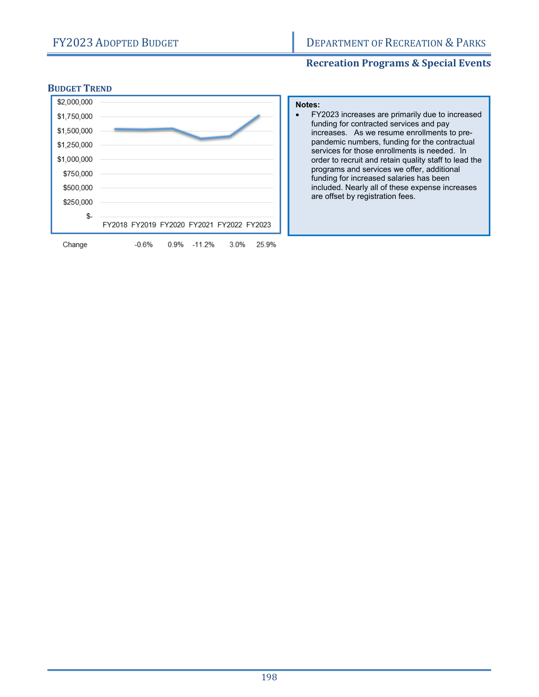### **Recreation Programs & Special Events**

#### **BUDGET TREND**



| Notes: |                                                                                                                                                                                                                                                                                                                                                                                              |
|--------|----------------------------------------------------------------------------------------------------------------------------------------------------------------------------------------------------------------------------------------------------------------------------------------------------------------------------------------------------------------------------------------------|
|        | FY2023 increases are primarily due to increased<br>funding for contracted services and pay<br>increases. As we resume enrollments to pre-<br>pandemic numbers, funding for the contractual<br>services for those enrollments is needed. In<br>order to recruit and retain quality staff to lead the<br>programs and services we offer, additional<br>funding for increased salaries has been |
|        | included. Nearly all of these expense increases                                                                                                                                                                                                                                                                                                                                              |
|        | are offset by registration fees.                                                                                                                                                                                                                                                                                                                                                             |
|        |                                                                                                                                                                                                                                                                                                                                                                                              |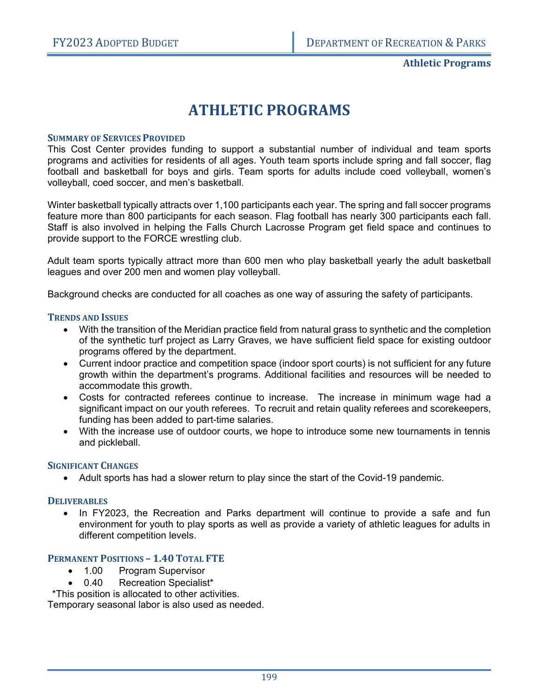**Athletic Programs**

# **ATHLETIC PROGRAMS**

#### **SUMMARY OF SERVICES PROVIDED**

This Cost Center provides funding to support a substantial number of individual and team sports programs and activities for residents of all ages. Youth team sports include spring and fall soccer, flag football and basketball for boys and girls. Team sports for adults include coed volleyball, women's volleyball, coed soccer, and men's basketball.

Winter basketball typically attracts over 1,100 participants each year. The spring and fall soccer programs feature more than 800 participants for each season. Flag football has nearly 300 participants each fall. Staff is also involved in helping the Falls Church Lacrosse Program get field space and continues to provide support to the FORCE wrestling club.

Adult team sports typically attract more than 600 men who play basketball yearly the adult basketball leagues and over 200 men and women play volleyball.

Background checks are conducted for all coaches as one way of assuring the safety of participants.

#### **TRENDS AND ISSUES**

- With the transition of the Meridian practice field from natural grass to synthetic and the completion of the synthetic turf project as Larry Graves, we have sufficient field space for existing outdoor programs offered by the department.
- Current indoor practice and competition space (indoor sport courts) is not sufficient for any future growth within the department's programs. Additional facilities and resources will be needed to accommodate this growth.
- Costs for contracted referees continue to increase. The increase in minimum wage had a significant impact on our youth referees. To recruit and retain quality referees and scorekeepers, funding has been added to part-time salaries.
- With the increase use of outdoor courts, we hope to introduce some new tournaments in tennis and pickleball.

#### **SIGNIFICANT CHANGES**

Adult sports has had a slower return to play since the start of the Covid-19 pandemic.

#### **DELIVERABLES**

• In FY2023, the Recreation and Parks department will continue to provide a safe and fun environment for youth to play sports as well as provide a variety of athletic leagues for adults in different competition levels.

#### **PERMANENT POSITIONS – 1.40 TOTAL FTE**

- 1.00 Program Supervisor
- 0.40 Recreation Specialist\*

\*This position is allocated to other activities.

Temporary seasonal labor is also used as needed.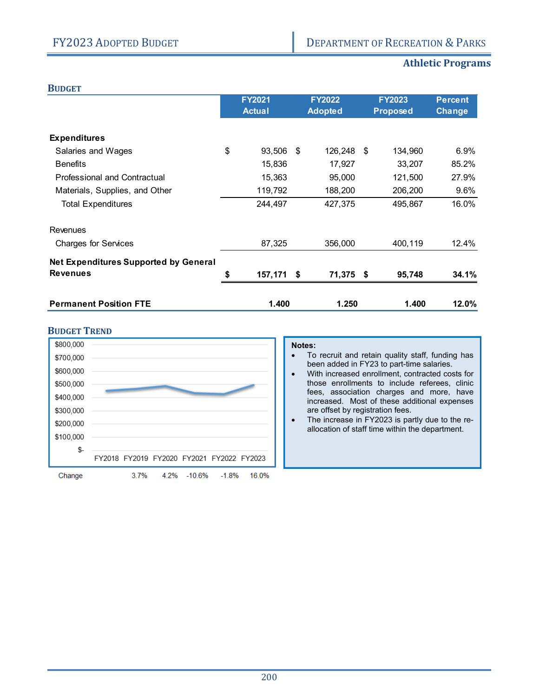## **Athletic Programs**

|--|

| <b>Attrietic Flograms</b> |  |  |
|---------------------------|--|--|
|                           |  |  |

|                                              | <b>FY2021</b><br><b>Actual</b> |      | <b>FY2022</b><br><b>Adopted</b> | <b>FY2023</b><br><b>Proposed</b> | <b>Percent</b><br>Change |
|----------------------------------------------|--------------------------------|------|---------------------------------|----------------------------------|--------------------------|
| <b>Expenditures</b>                          |                                |      |                                 |                                  |                          |
| Salaries and Wages                           | \$<br>93,506                   | - \$ | 126,248 \$                      | 134,960                          | 6.9%                     |
| <b>Benefits</b>                              | 15,836                         |      | 17,927                          | 33,207                           | 85.2%                    |
| Professional and Contractual                 | 15,363                         |      | 95,000                          | 121,500                          | 27.9%                    |
| Materials, Supplies, and Other               | 119,792                        |      | 188,200                         | 206,200                          | 9.6%                     |
| <b>Total Expenditures</b>                    | 244,497                        |      | 427,375                         | 495,867                          | 16.0%                    |
| Revenues                                     |                                |      |                                 |                                  |                          |
| <b>Charges for Services</b>                  | 87,325                         |      | 356,000                         | 400,119                          | 12.4%                    |
| <b>Net Expenditures Supported by General</b> |                                |      |                                 |                                  |                          |
| <b>Revenues</b>                              | \$<br>157,171 \$               |      | 71,375 \$                       | 95,748                           | 34.1%                    |
| <b>Permanent Position FTE</b>                | 1.400                          |      | 1.250                           | 1.400                            | 12.0%                    |

#### **BUDGET TREND**



#### **Notes:**

- To recruit and retain quality staff, funding has been added in FY23 to part-time salaries.
- With increased enrollment, contracted costs for those enrollments to include referees, clinic fees, association charges and more, have increased. Most of these additional expenses are offset by registration fees.
- The increase in FY2023 is partly due to the reallocation of staff time within the department.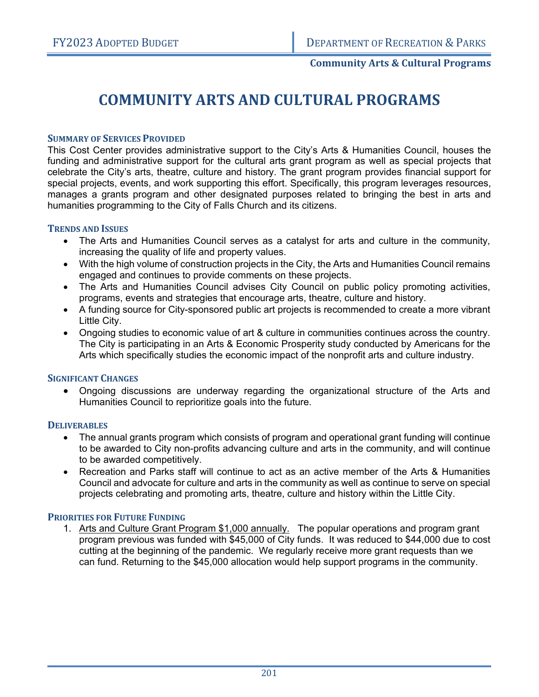#### **Community Arts & Cultural Programs**

# **COMMUNITY ARTS AND CULTURAL PROGRAMS**

#### **SUMMARY OF SERVICES PROVIDED**

This Cost Center provides administrative support to the City's Arts & Humanities Council, houses the funding and administrative support for the cultural arts grant program as well as special projects that celebrate the City's arts, theatre, culture and history. The grant program provides financial support for special projects, events, and work supporting this effort. Specifically, this program leverages resources, manages a grants program and other designated purposes related to bringing the best in arts and humanities programming to the City of Falls Church and its citizens.

#### **TRENDS AND ISSUES**

- The Arts and Humanities Council serves as a catalyst for arts and culture in the community, increasing the quality of life and property values.
- With the high volume of construction projects in the City, the Arts and Humanities Council remains engaged and continues to provide comments on these projects.
- The Arts and Humanities Council advises City Council on public policy promoting activities, programs, events and strategies that encourage arts, theatre, culture and history.
- A funding source for City-sponsored public art projects is recommended to create a more vibrant Little City.
- Ongoing studies to economic value of art & culture in communities continues across the country. The City is participating in an Arts & Economic Prosperity study conducted by Americans for the Arts which specifically studies the economic impact of the nonprofit arts and culture industry.

#### **SIGNIFICANT CHANGES**

 Ongoing discussions are underway regarding the organizational structure of the Arts and Humanities Council to reprioritize goals into the future.

#### **DELIVERABLES**

- The annual grants program which consists of program and operational grant funding will continue to be awarded to City non-profits advancing culture and arts in the community, and will continue to be awarded competitively.
- Recreation and Parks staff will continue to act as an active member of the Arts & Humanities Council and advocate for culture and arts in the community as well as continue to serve on special projects celebrating and promoting arts, theatre, culture and history within the Little City.

#### **PRIORITIES FOR FUTURE FUNDING**

1. Arts and Culture Grant Program \$1,000 annually. The popular operations and program grant program previous was funded with \$45,000 of City funds. It was reduced to \$44,000 due to cost cutting at the beginning of the pandemic. We regularly receive more grant requests than we can fund. Returning to the \$45,000 allocation would help support programs in the community.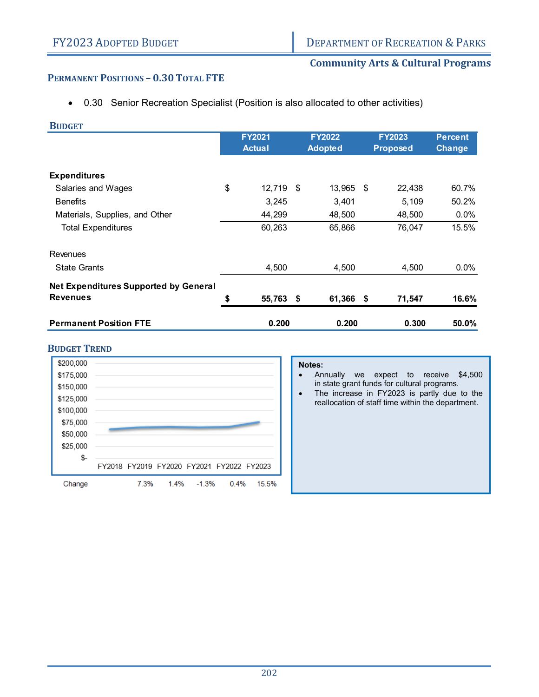#### **Community Arts & Cultural Programs**

#### **PERMANENT POSITIONS – 0.30 TOTAL FTE**

0.30 Senior Recreation Specialist (Position is also allocated to other activities)

| <b>BUDGET</b>                                |    |               |                |      |                 |                |
|----------------------------------------------|----|---------------|----------------|------|-----------------|----------------|
|                                              |    | <b>FY2021</b> | <b>FY2022</b>  |      | <b>FY2023</b>   | <b>Percent</b> |
|                                              |    | <b>Actual</b> | <b>Adopted</b> |      | <b>Proposed</b> | <b>Change</b>  |
| <b>Expenditures</b>                          |    |               |                |      |                 |                |
| Salaries and Wages                           | \$ | 12,719 \$     | 13,965         | - \$ | 22,438          | 60.7%          |
| <b>Benefits</b>                              |    | 3,245         | 3,401          |      | 5,109           | 50.2%          |
| Materials, Supplies, and Other               |    | 44,299        | 48,500         |      | 48,500          | 0.0%           |
| <b>Total Expenditures</b>                    |    | 60,263        | 65,866         |      | 76,047          | 15.5%          |
| Revenues                                     |    |               |                |      |                 |                |
| <b>State Grants</b>                          |    | 4,500         | 4,500          |      | 4,500           | 0.0%           |
| <b>Net Expenditures Supported by General</b> |    |               |                |      |                 |                |
| <b>Revenues</b>                              | S  | 55,763 \$     | 61,366 \$      |      | 71,547          | 16.6%          |
| <b>Permanent Position FTE</b>                |    | 0.200         | 0.200          |      | 0.300           | 50.0%          |

#### **BUDGET TREND**



#### **Notes:**

- Annually we expect to receive \$4,500 in state grant funds for cultural programs.
- The increase in FY2023 is partly due to the reallocation of staff time within the department.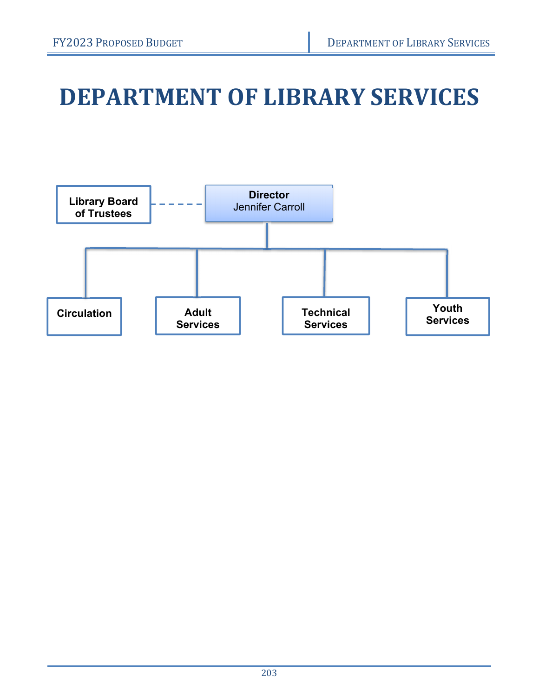# **DEPARTMENT OF LIBRARY SERVICES**

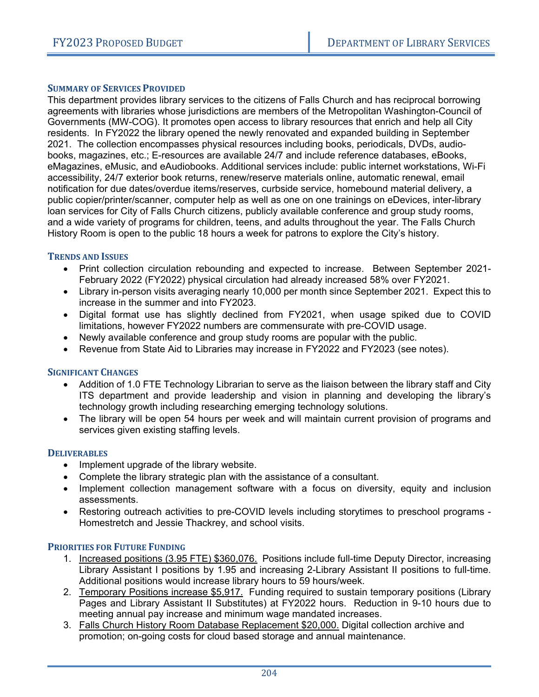#### **SUMMARY OF SERVICES PROVIDED**

This department provides library services to the citizens of Falls Church and has reciprocal borrowing agreements with libraries whose jurisdictions are members of the Metropolitan Washington-Council of Governments (MW-COG). It promotes open access to library resources that enrich and help all City residents. In FY2022 the library opened the newly renovated and expanded building in September 2021. The collection encompasses physical resources including books, periodicals, DVDs, audiobooks, magazines, etc.; E-resources are available 24/7 and include reference databases, eBooks, eMagazines, eMusic, and eAudiobooks. Additional services include: public internet workstations, Wi-Fi accessibility, 24/7 exterior book returns, renew/reserve materials online, automatic renewal, email notification for due dates/overdue items/reserves, curbside service, homebound material delivery, a public copier/printer/scanner, computer help as well as one on one trainings on eDevices, inter-library loan services for City of Falls Church citizens, publicly available conference and group study rooms, and a wide variety of programs for children, teens, and adults throughout the year. The Falls Church History Room is open to the public 18 hours a week for patrons to explore the City's history.

#### **TRENDS AND ISSUES**

- Print collection circulation rebounding and expected to increase. Between September 2021- February 2022 (FY2022) physical circulation had already increased 58% over FY2021.
- Library in-person visits averaging nearly 10,000 per month since September 2021. Expect this to increase in the summer and into FY2023.
- Digital format use has slightly declined from FY2021, when usage spiked due to COVID limitations, however FY2022 numbers are commensurate with pre-COVID usage.
- Newly available conference and group study rooms are popular with the public.
- Revenue from State Aid to Libraries may increase in FY2022 and FY2023 (see notes).

#### **SIGNIFICANT CHANGES**

- Addition of 1.0 FTE Technology Librarian to serve as the liaison between the library staff and City ITS department and provide leadership and vision in planning and developing the library's technology growth including researching emerging technology solutions.
- The library will be open 54 hours per week and will maintain current provision of programs and services given existing staffing levels.

#### **DELIVERABLES**

- Implement upgrade of the library website.
- Complete the library strategic plan with the assistance of a consultant.
- Implement collection management software with a focus on diversity, equity and inclusion assessments.
- Restoring outreach activities to pre-COVID levels including storytimes to preschool programs Homestretch and Jessie Thackrey, and school visits.

#### **PRIORITIES FOR FUTURE FUNDING**

- 1. Increased positions (3.95 FTE) \$360,076. Positions include full-time Deputy Director, increasing Library Assistant I positions by 1.95 and increasing 2-Library Assistant II positions to full-time. Additional positions would increase library hours to 59 hours/week.
- 2. Temporary Positions increase \$5,917. Funding required to sustain temporary positions (Library Pages and Library Assistant II Substitutes) at FY2022 hours. Reduction in 9-10 hours due to meeting annual pay increase and minimum wage mandated increases.
- 3. Falls Church History Room Database Replacement \$20,000. Digital collection archive and promotion; on-going costs for cloud based storage and annual maintenance.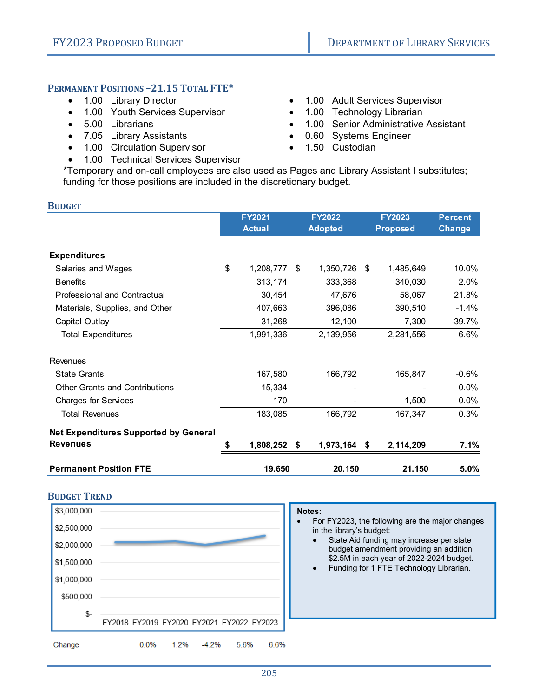#### **PERMANENT POSITIONS –21.15 TOTAL FTE\***

- 1.00 Library Director
- 1.00 Youth Services Supervisor
- 5.00 Librarians
- 7.05 Library Assistants
- 1.00 Circulation Supervisor
- 1.00 Technical Services Supervisor
- 1.00 Adult Services Supervisor
- 1.00 Technology Librarian
- 1.00 Senior Administrative Assistant
- 0.60 Systems Engineer
- $\bullet$  1.50 Custodian

\*Temporary and on-call employees are also used as Pages and Library Assistant I substitutes; funding for those positions are included in the discretionary budget.

| <b>BUDGET</b>                                                   |    |                                |                                 |                                  |                                 |
|-----------------------------------------------------------------|----|--------------------------------|---------------------------------|----------------------------------|---------------------------------|
|                                                                 |    | <b>FY2021</b><br><b>Actual</b> | <b>FY2022</b><br><b>Adopted</b> | <b>FY2023</b><br><b>Proposed</b> | <b>Percent</b><br><b>Change</b> |
| <b>Expenditures</b>                                             |    |                                |                                 |                                  |                                 |
| Salaries and Wages                                              | \$ | 1,208,777                      | \$<br>1,350,726                 | \$<br>1,485,649                  | 10.0%                           |
| <b>Benefits</b>                                                 |    | 313,174                        | 333,368                         | 340,030                          | 2.0%                            |
| Professional and Contractual                                    |    | 30,454                         | 47,676                          | 58,067                           | 21.8%                           |
| Materials, Supplies, and Other                                  |    | 407,663                        | 396,086                         | 390,510                          | $-1.4%$                         |
| Capital Outlay                                                  |    | 31,268                         | 12,100                          | 7,300                            | $-39.7%$                        |
| <b>Total Expenditures</b>                                       |    | 1,991,336                      | 2,139,956                       | 2,281,556                        | 6.6%                            |
| Revenues                                                        |    |                                |                                 |                                  |                                 |
| <b>State Grants</b>                                             |    | 167,580                        | 166,792                         | 165,847                          | $-0.6%$                         |
| <b>Other Grants and Contributions</b>                           |    | 15,334                         |                                 |                                  | 0.0%                            |
| <b>Charges for Services</b>                                     |    | 170                            |                                 | 1,500                            | $0.0\%$                         |
| <b>Total Revenues</b>                                           |    | 183,085                        | 166,792                         | 167,347                          | 0.3%                            |
| <b>Net Expenditures Supported by General</b><br><b>Revenues</b> |    |                                |                                 |                                  |                                 |
|                                                                 | 5  | 1,808,252                      | \$<br>1,973,164 \$              | 2,114,209                        | 7.1%                            |
| <b>Permanent Position FTE</b>                                   |    | 19.650                         | 20.150                          | 21.150                           | 5.0%                            |



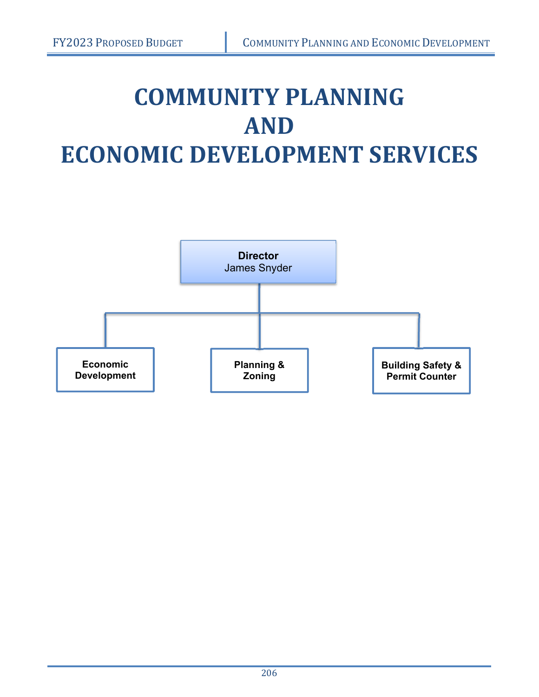# **COMMUNITY PLANNING AND ECONOMIC DEVELOPMENT SERVICES**

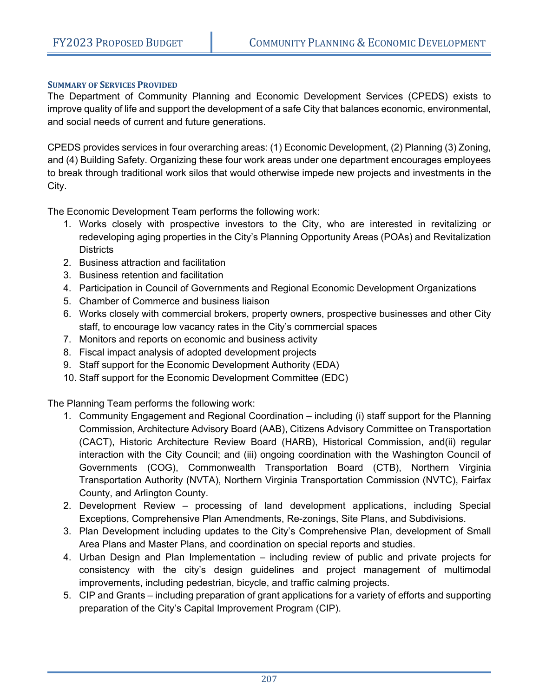#### **SUMMARY OF SERVICES PROVIDED**

The Department of Community Planning and Economic Development Services (CPEDS) exists to improve quality of life and support the development of a safe City that balances economic, environmental, and social needs of current and future generations.

CPEDS provides services in four overarching areas: (1) Economic Development, (2) Planning (3) Zoning, and (4) Building Safety. Organizing these four work areas under one department encourages employees to break through traditional work silos that would otherwise impede new projects and investments in the City.

The Economic Development Team performs the following work:

- 1. Works closely with prospective investors to the City, who are interested in revitalizing or redeveloping aging properties in the City's Planning Opportunity Areas (POAs) and Revitalization **Districts**
- 2. Business attraction and facilitation
- 3. Business retention and facilitation
- 4. Participation in Council of Governments and Regional Economic Development Organizations
- 5. Chamber of Commerce and business liaison
- 6. Works closely with commercial brokers, property owners, prospective businesses and other City staff, to encourage low vacancy rates in the City's commercial spaces
- 7. Monitors and reports on economic and business activity
- 8. Fiscal impact analysis of adopted development projects
- 9. Staff support for the Economic Development Authority (EDA)
- 10. Staff support for the Economic Development Committee (EDC)

The Planning Team performs the following work:

- 1. Community Engagement and Regional Coordination including (i) staff support for the Planning Commission, Architecture Advisory Board (AAB), Citizens Advisory Committee on Transportation (CACT), Historic Architecture Review Board (HARB), Historical Commission, and(ii) regular interaction with the City Council; and (iii) ongoing coordination with the Washington Council of Governments (COG), Commonwealth Transportation Board (CTB), Northern Virginia Transportation Authority (NVTA), Northern Virginia Transportation Commission (NVTC), Fairfax County, and Arlington County.
- 2. Development Review processing of land development applications, including Special Exceptions, Comprehensive Plan Amendments, Re-zonings, Site Plans, and Subdivisions.
- 3. Plan Development including updates to the City's Comprehensive Plan, development of Small Area Plans and Master Plans, and coordination on special reports and studies.
- 4. Urban Design and Plan Implementation including review of public and private projects for consistency with the city's design guidelines and project management of multimodal improvements, including pedestrian, bicycle, and traffic calming projects.
- 5. CIP and Grants including preparation of grant applications for a variety of efforts and supporting preparation of the City's Capital Improvement Program (CIP).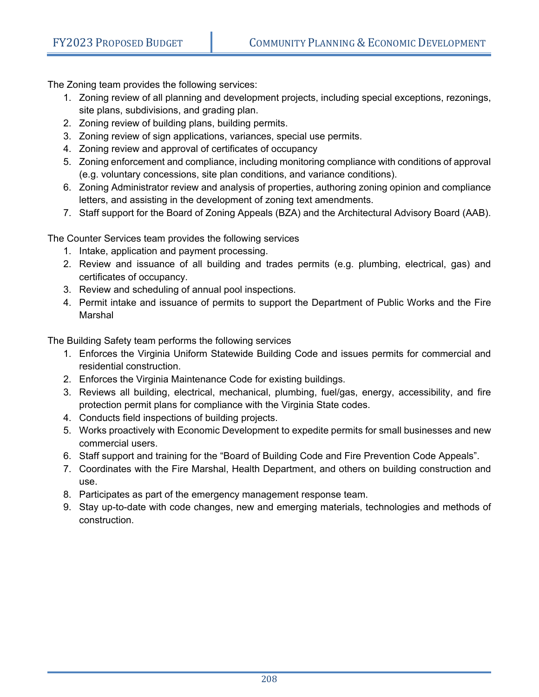The Zoning team provides the following services:

- 1. Zoning review of all planning and development projects, including special exceptions, rezonings, site plans, subdivisions, and grading plan.
- 2. Zoning review of building plans, building permits.
- 3. Zoning review of sign applications, variances, special use permits.
- 4. Zoning review and approval of certificates of occupancy
- 5. Zoning enforcement and compliance, including monitoring compliance with conditions of approval (e.g. voluntary concessions, site plan conditions, and variance conditions).
- 6. Zoning Administrator review and analysis of properties, authoring zoning opinion and compliance letters, and assisting in the development of zoning text amendments.
- 7. Staff support for the Board of Zoning Appeals (BZA) and the Architectural Advisory Board (AAB).

The Counter Services team provides the following services

- 1. Intake, application and payment processing.
- 2. Review and issuance of all building and trades permits (e.g. plumbing, electrical, gas) and certificates of occupancy.
- 3. Review and scheduling of annual pool inspections.
- 4. Permit intake and issuance of permits to support the Department of Public Works and the Fire Marshal

The Building Safety team performs the following services

- 1. Enforces the Virginia Uniform Statewide Building Code and issues permits for commercial and residential construction.
- 2. Enforces the Virginia Maintenance Code for existing buildings.
- 3. Reviews all building, electrical, mechanical, plumbing, fuel/gas, energy, accessibility, and fire protection permit plans for compliance with the Virginia State codes.
- 4. Conducts field inspections of building projects.
- 5. Works proactively with Economic Development to expedite permits for small businesses and new commercial users.
- 6. Staff support and training for the "Board of Building Code and Fire Prevention Code Appeals".
- 7. Coordinates with the Fire Marshal, Health Department, and others on building construction and use.
- 8. Participates as part of the emergency management response team.
- 9. Stay up-to-date with code changes, new and emerging materials, technologies and methods of construction.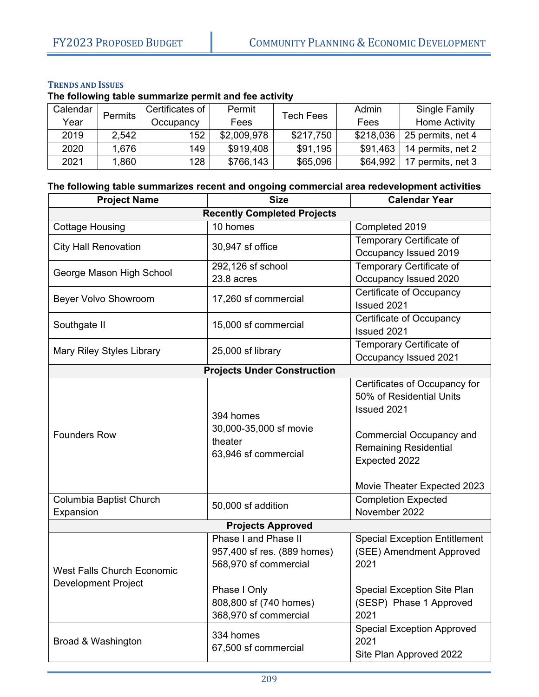#### **TRENDS AND ISSUES**

**The following table summarize permit and fee activity** 

| Calendar | Permits | Certificates of | Permit      | <b>Tech Fees</b> | Admin     | Single Family        |
|----------|---------|-----------------|-------------|------------------|-----------|----------------------|
| Year     |         | Occupancy       | Fees        |                  | Fees      | Home Activity        |
| 2019     | 2.542   | 152             | \$2,009,978 | \$217,750        | \$218,036 | 25 permits, net 4    |
| 2020     | 1.676   | 149             | \$919,408   | \$91.195         | \$91,463  | 14 permits, net 2    |
| 2021     | .860    | 128             | \$766,143   | \$65,096         | \$64,992  | 17<br>permits, net 3 |

#### **The following table summarizes recent and ongoing commercial area redevelopment activities**

| <b>Project Name</b>                | <b>Calendar Year</b>               |                                      |  |  |  |  |  |  |  |  |  |
|------------------------------------|------------------------------------|--------------------------------------|--|--|--|--|--|--|--|--|--|
| <b>Recently Completed Projects</b> |                                    |                                      |  |  |  |  |  |  |  |  |  |
| <b>Cottage Housing</b>             | 10 homes                           | Completed 2019                       |  |  |  |  |  |  |  |  |  |
|                                    |                                    | Temporary Certificate of             |  |  |  |  |  |  |  |  |  |
| <b>City Hall Renovation</b>        | 30,947 sf office                   | Occupancy Issued 2019                |  |  |  |  |  |  |  |  |  |
| George Mason High School           | 292,126 sf school                  | Temporary Certificate of             |  |  |  |  |  |  |  |  |  |
|                                    | 23.8 acres                         | Occupancy Issued 2020                |  |  |  |  |  |  |  |  |  |
| Beyer Volvo Showroom               | 17,260 sf commercial               | Certificate of Occupancy             |  |  |  |  |  |  |  |  |  |
|                                    |                                    | Issued 2021                          |  |  |  |  |  |  |  |  |  |
| Southgate II                       | 15,000 sf commercial               | Certificate of Occupancy             |  |  |  |  |  |  |  |  |  |
|                                    |                                    | Issued 2021                          |  |  |  |  |  |  |  |  |  |
| <b>Mary Riley Styles Library</b>   | 25,000 sf library                  | Temporary Certificate of             |  |  |  |  |  |  |  |  |  |
|                                    |                                    | Occupancy Issued 2021                |  |  |  |  |  |  |  |  |  |
|                                    | <b>Projects Under Construction</b> |                                      |  |  |  |  |  |  |  |  |  |
|                                    |                                    | Certificates of Occupancy for        |  |  |  |  |  |  |  |  |  |
|                                    |                                    | 50% of Residential Units             |  |  |  |  |  |  |  |  |  |
|                                    | 394 homes                          | Issued 2021                          |  |  |  |  |  |  |  |  |  |
|                                    | 30,000-35,000 sf movie             |                                      |  |  |  |  |  |  |  |  |  |
| <b>Founders Row</b>                | theater                            | Commercial Occupancy and             |  |  |  |  |  |  |  |  |  |
|                                    | 63,946 sf commercial               | <b>Remaining Residential</b>         |  |  |  |  |  |  |  |  |  |
|                                    |                                    | Expected 2022                        |  |  |  |  |  |  |  |  |  |
|                                    |                                    |                                      |  |  |  |  |  |  |  |  |  |
|                                    |                                    | Movie Theater Expected 2023          |  |  |  |  |  |  |  |  |  |
| Columbia Baptist Church            | 50,000 sf addition                 | <b>Completion Expected</b>           |  |  |  |  |  |  |  |  |  |
| Expansion                          |                                    | November 2022                        |  |  |  |  |  |  |  |  |  |
|                                    | <b>Projects Approved</b>           |                                      |  |  |  |  |  |  |  |  |  |
|                                    | Phase I and Phase II               | <b>Special Exception Entitlement</b> |  |  |  |  |  |  |  |  |  |
|                                    | 957,400 sf res. (889 homes)        | (SEE) Amendment Approved             |  |  |  |  |  |  |  |  |  |
| <b>West Falls Church Economic</b>  | 568,970 sf commercial              | 2021                                 |  |  |  |  |  |  |  |  |  |
| <b>Development Project</b>         |                                    |                                      |  |  |  |  |  |  |  |  |  |
|                                    | Phase I Only                       | Special Exception Site Plan          |  |  |  |  |  |  |  |  |  |
|                                    | 808,800 sf (740 homes)             | (SESP) Phase 1 Approved              |  |  |  |  |  |  |  |  |  |
|                                    | 368,970 sf commercial              | 2021                                 |  |  |  |  |  |  |  |  |  |
|                                    | 334 homes                          | <b>Special Exception Approved</b>    |  |  |  |  |  |  |  |  |  |
| Broad & Washington                 | 67,500 sf commercial               | 2021                                 |  |  |  |  |  |  |  |  |  |
|                                    |                                    | Site Plan Approved 2022              |  |  |  |  |  |  |  |  |  |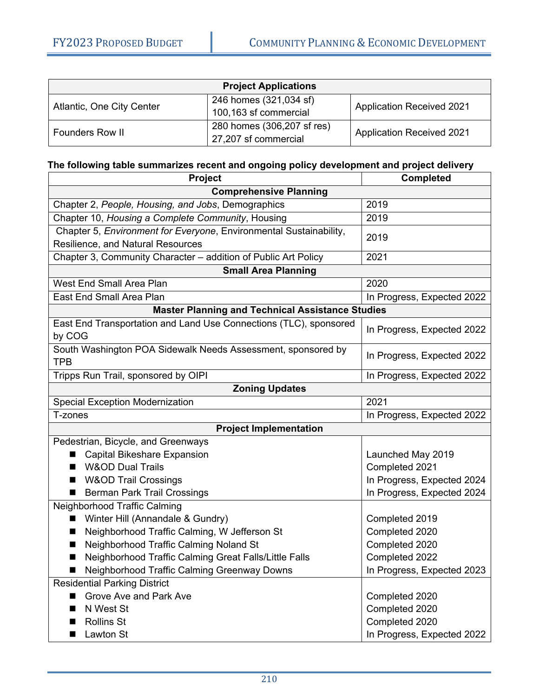| <b>Project Applications</b> |                            |                                  |  |  |  |  |  |
|-----------------------------|----------------------------|----------------------------------|--|--|--|--|--|
| Atlantic, One City Center   | 246 homes (321,034 sf)     | <b>Application Received 2021</b> |  |  |  |  |  |
|                             | 100,163 sf commercial      |                                  |  |  |  |  |  |
| <b>Founders Row II</b>      | 280 homes (306,207 sf res) | <b>Application Received 2021</b> |  |  |  |  |  |
|                             | 27,207 sf commercial       |                                  |  |  |  |  |  |

#### **The following table summarizes recent and ongoing policy development and project delivery**

| Project                                                            | <b>Completed</b>           |  |  |  |  |  |  |
|--------------------------------------------------------------------|----------------------------|--|--|--|--|--|--|
| <b>Comprehensive Planning</b>                                      |                            |  |  |  |  |  |  |
| Chapter 2, People, Housing, and Jobs, Demographics                 | 2019                       |  |  |  |  |  |  |
| Chapter 10, Housing a Complete Community, Housing                  | 2019                       |  |  |  |  |  |  |
| Chapter 5, Environment for Everyone, Environmental Sustainability, | 2019                       |  |  |  |  |  |  |
| Resilience, and Natural Resources                                  |                            |  |  |  |  |  |  |
| Chapter 3, Community Character - addition of Public Art Policy     | 2021                       |  |  |  |  |  |  |
| <b>Small Area Planning</b>                                         |                            |  |  |  |  |  |  |
| West End Small Area Plan                                           | 2020                       |  |  |  |  |  |  |
| East End Small Area Plan                                           | In Progress, Expected 2022 |  |  |  |  |  |  |
| <b>Master Planning and Technical Assistance Studies</b>            |                            |  |  |  |  |  |  |
| East End Transportation and Land Use Connections (TLC), sponsored  | In Progress, Expected 2022 |  |  |  |  |  |  |
| by COG                                                             |                            |  |  |  |  |  |  |
| South Washington POA Sidewalk Needs Assessment, sponsored by       | In Progress, Expected 2022 |  |  |  |  |  |  |
| <b>TPB</b>                                                         |                            |  |  |  |  |  |  |
| Tripps Run Trail, sponsored by OIPI                                | In Progress, Expected 2022 |  |  |  |  |  |  |
| <b>Zoning Updates</b>                                              |                            |  |  |  |  |  |  |
| <b>Special Exception Modernization</b>                             | 2021                       |  |  |  |  |  |  |
| T-zones                                                            | In Progress, Expected 2022 |  |  |  |  |  |  |
| <b>Project Implementation</b>                                      |                            |  |  |  |  |  |  |
| Pedestrian, Bicycle, and Greenways                                 |                            |  |  |  |  |  |  |
| <b>Capital Bikeshare Expansion</b>                                 | Launched May 2019          |  |  |  |  |  |  |
| <b>W&amp;OD Dual Trails</b>                                        | Completed 2021             |  |  |  |  |  |  |
| <b>W&amp;OD Trail Crossings</b>                                    | In Progress, Expected 2024 |  |  |  |  |  |  |
| <b>Berman Park Trail Crossings</b><br>■                            | In Progress, Expected 2024 |  |  |  |  |  |  |
| Neighborhood Traffic Calming                                       |                            |  |  |  |  |  |  |
| Winter Hill (Annandale & Gundry)                                   | Completed 2019             |  |  |  |  |  |  |
| Neighborhood Traffic Calming, W Jefferson St<br>▬                  | Completed 2020             |  |  |  |  |  |  |
| Neighborhood Traffic Calming Noland St<br>▬                        | Completed 2020             |  |  |  |  |  |  |
| Neighborhood Traffic Calming Great Falls/Little Falls<br>▬         | Completed 2022             |  |  |  |  |  |  |
| Neighborhood Traffic Calming Greenway Downs                        | In Progress, Expected 2023 |  |  |  |  |  |  |
| <b>Residential Parking District</b>                                |                            |  |  |  |  |  |  |
| Grove Ave and Park Ave                                             | Completed 2020             |  |  |  |  |  |  |
| N West St<br>■                                                     | Completed 2020             |  |  |  |  |  |  |
| <b>Rollins St</b><br>■                                             | Completed 2020             |  |  |  |  |  |  |
| Lawton St<br>■                                                     | In Progress, Expected 2022 |  |  |  |  |  |  |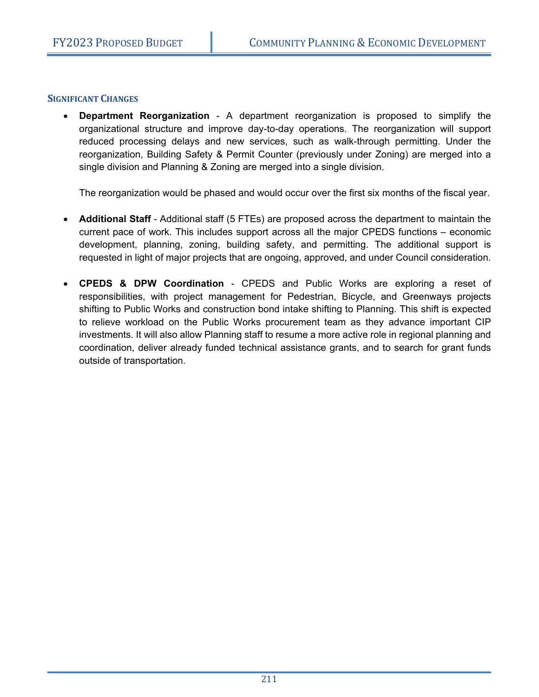#### **SIGNIFICANT CHANGES**

 **Department Reorganization** - A department reorganization is proposed to simplify the organizational structure and improve day-to-day operations. The reorganization will support reduced processing delays and new services, such as walk-through permitting. Under the reorganization, Building Safety & Permit Counter (previously under Zoning) are merged into a single division and Planning & Zoning are merged into a single division.

The reorganization would be phased and would occur over the first six months of the fiscal year.

- **Additional Staff** Additional staff (5 FTEs) are proposed across the department to maintain the current pace of work. This includes support across all the major CPEDS functions – economic development, planning, zoning, building safety, and permitting. The additional support is requested in light of major projects that are ongoing, approved, and under Council consideration.
- **CPEDS & DPW Coordination** CPEDS and Public Works are exploring a reset of responsibilities, with project management for Pedestrian, Bicycle, and Greenways projects shifting to Public Works and construction bond intake shifting to Planning. This shift is expected to relieve workload on the Public Works procurement team as they advance important CIP investments. It will also allow Planning staff to resume a more active role in regional planning and coordination, deliver already funded technical assistance grants, and to search for grant funds outside of transportation.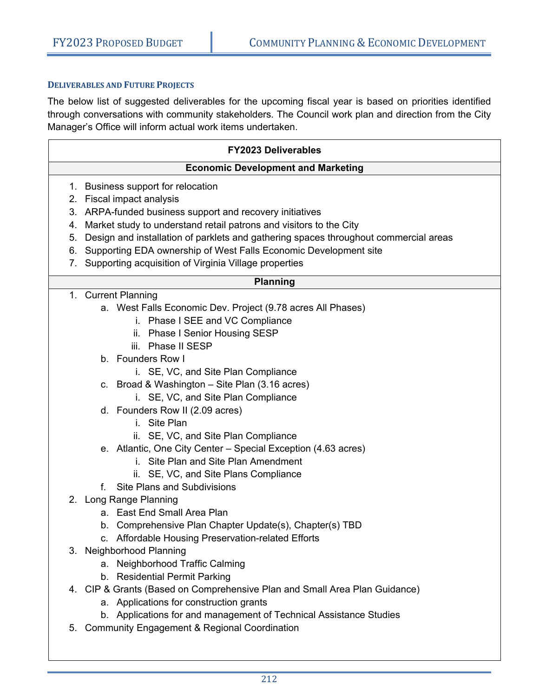#### **DELIVERABLES AND FUTURE PROJECTS**

The below list of suggested deliverables for the upcoming fiscal year is based on priorities identified through conversations with community stakeholders. The Council work plan and direction from the City Manager's Office will inform actual work items undertaken.

|    | <b>FY2023 Deliverables</b>                                                                            |
|----|-------------------------------------------------------------------------------------------------------|
|    | <b>Economic Development and Marketing</b>                                                             |
|    | 1. Business support for relocation                                                                    |
|    | 2. Fiscal impact analysis                                                                             |
|    | 3. ARPA-funded business support and recovery initiatives                                              |
| 4. | Market study to understand retail patrons and visitors to the City                                    |
| 5. | Design and installation of parklets and gathering spaces throughout commercial areas                  |
| 6. | Supporting EDA ownership of West Falls Economic Development site                                      |
| 7. | Supporting acquisition of Virginia Village properties                                                 |
|    | <b>Planning</b>                                                                                       |
|    | 1. Current Planning                                                                                   |
|    | a. West Falls Economic Dev. Project (9.78 acres All Phases)                                           |
|    | i. Phase I SEE and VC Compliance                                                                      |
|    | ii. Phase I Senior Housing SESP                                                                       |
|    | iii. Phase II SESP                                                                                    |
|    | b. Founders Row I                                                                                     |
|    | i. SE, VC, and Site Plan Compliance                                                                   |
|    | c. Broad & Washington - Site Plan (3.16 acres)                                                        |
|    | i. SE, VC, and Site Plan Compliance                                                                   |
|    | d. Founders Row II (2.09 acres)<br>i. Site Plan                                                       |
|    |                                                                                                       |
|    | ii. SE, VC, and Site Plan Compliance<br>e. Atlantic, One City Center - Special Exception (4.63 acres) |
|    | i. Site Plan and Site Plan Amendment                                                                  |
|    | ii. SE, VC, and Site Plans Compliance                                                                 |
|    | <b>Site Plans and Subdivisions</b><br>f.                                                              |
|    | 2. Long Range Planning                                                                                |
|    | a. East End Small Area Plan                                                                           |
|    | b. Comprehensive Plan Chapter Update(s), Chapter(s) TBD                                               |
|    | c. Affordable Housing Preservation-related Efforts                                                    |
|    | 3. Neighborhood Planning                                                                              |
|    | a. Neighborhood Traffic Calming                                                                       |
|    | b. Residential Permit Parking                                                                         |
|    | 4. CIP & Grants (Based on Comprehensive Plan and Small Area Plan Guidance)                            |
|    | a. Applications for construction grants                                                               |
|    | b. Applications for and management of Technical Assistance Studies                                    |
| 5. | <b>Community Engagement &amp; Regional Coordination</b>                                               |
|    |                                                                                                       |
|    |                                                                                                       |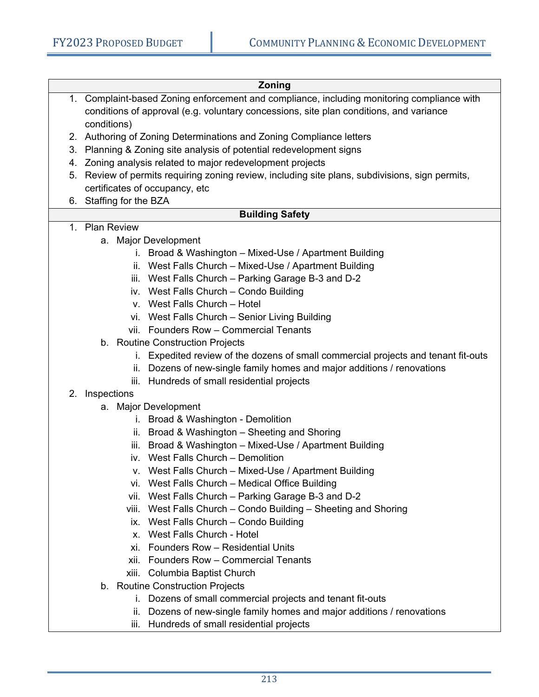#### **Zoning**  1. Complaint-based Zoning enforcement and compliance, including monitoring compliance with conditions of approval (e.g. voluntary concessions, site plan conditions, and variance conditions) 2. Authoring of Zoning Determinations and Zoning Compliance letters 3. Planning & Zoning site analysis of potential redevelopment signs 4. Zoning analysis related to major redevelopment projects 5. Review of permits requiring zoning review, including site plans, subdivisions, sign permits, certificates of occupancy, etc 6. Staffing for the BZA **Building Safety**  1. Plan Review a. Major Development i. Broad & Washington – Mixed-Use / Apartment Building ii. West Falls Church – Mixed-Use / Apartment Building iii. West Falls Church – Parking Garage B-3 and D-2 iv. West Falls Church – Condo Building v. West Falls Church – Hotel vi. West Falls Church – Senior Living Building vii. Founders Row – Commercial Tenants b. Routine Construction Projects i. Expedited review of the dozens of small commercial projects and tenant fit-outs ii. Dozens of new-single family homes and major additions / renovations iii. Hundreds of small residential projects

### 2. Inspections

- a. Major Development
	- i. Broad & Washington Demolition
	- ii. Broad & Washington Sheeting and Shoring
	- iii. Broad & Washington Mixed-Use / Apartment Building
	- iv. West Falls Church Demolition
	- v. West Falls Church Mixed-Use / Apartment Building
	- vi. West Falls Church Medical Office Building
	- vii. West Falls Church Parking Garage B-3 and D-2
	- viii. West Falls Church Condo Building Sheeting and Shoring
	- ix. West Falls Church Condo Building
	- x. West Falls Church Hotel
	- xi. Founders Row Residential Units
	- xii. Founders Row Commercial Tenants
	- xiii. Columbia Baptist Church
- b. Routine Construction Projects
	- i. Dozens of small commercial projects and tenant fit-outs
	- ii. Dozens of new-single family homes and major additions / renovations
	- iii. Hundreds of small residential projects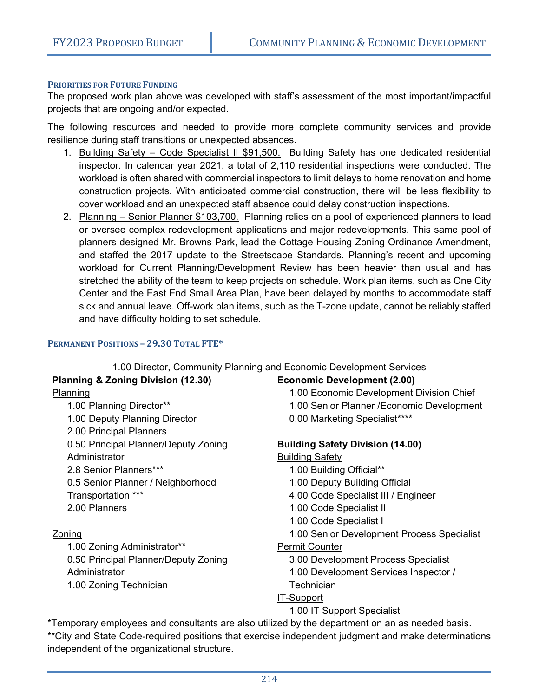#### **PRIORITIES FOR FUTURE FUNDING**

The proposed work plan above was developed with staff's assessment of the most important/impactful projects that are ongoing and/or expected.

The following resources and needed to provide more complete community services and provide resilience during staff transitions or unexpected absences.

- 1. Building Safety Code Specialist II \$91,500. Building Safety has one dedicated residential inspector. In calendar year 2021, a total of 2,110 residential inspections were conducted. The workload is often shared with commercial inspectors to limit delays to home renovation and home construction projects. With anticipated commercial construction, there will be less flexibility to cover workload and an unexpected staff absence could delay construction inspections.
- 2. Planning Senior Planner \$103,700. Planning relies on a pool of experienced planners to lead or oversee complex redevelopment applications and major redevelopments. This same pool of planners designed Mr. Browns Park, lead the Cottage Housing Zoning Ordinance Amendment, and staffed the 2017 update to the Streetscape Standards. Planning's recent and upcoming workload for Current Planning/Development Review has been heavier than usual and has stretched the ability of the team to keep projects on schedule. Work plan items, such as One City Center and the East End Small Area Plan, have been delayed by months to accommodate staff sick and annual leave. Off-work plan items, such as the T-zone update, cannot be reliably staffed and have difficulty holding to set schedule.

#### **PERMANENT POSITIONS – 29.30 TOTAL FTE\***

|                                    | 1.00 Director, Community Planning and Economic Development Services |
|------------------------------------|---------------------------------------------------------------------|
| Planning & Zoning Division (12.30) | <b>Economic Development (2.00)</b>                                  |
| Planning                           | 1.00 Economic Development Divisio                                   |

1.00 Planning Director\*\* 1.00 Deputy Planning Director 2.00 Principal Planners 0.50 Principal Planner/Deputy Zoning Administrator 2.8 Senior Planners\*\*\* 0.5 Senior Planner / Neighborhood Transportation \*\*\* 2.00 Planners

#### Zoning

1.00 Zoning Administrator\*\* 0.50 Principal Planner/Deputy Zoning Administrator 1.00 Zoning Technician

n Chief 1.00 Senior Planner /Economic Development 0.00 Marketing Specialist\*\*\*\*

#### **Building Safety Division (14.00)**

#### Building Safety

- 1.00 Building Official\*\*
- 1.00 Deputy Building Official
- 4.00 Code Specialist III / Engineer
- 1.00 Code Specialist II
- 1.00 Code Specialist I
- 1.00 Senior Development Process Specialist

#### Permit Counter

3.00 Development Process Specialist

1.00 Development Services Inspector / **Technician** 

#### IT-Support

1.00 IT Support Specialist

\*Temporary employees and consultants are also utilized by the department on an as needed basis. \*\*City and State Code-required positions that exercise independent judgment and make determinations independent of the organizational structure.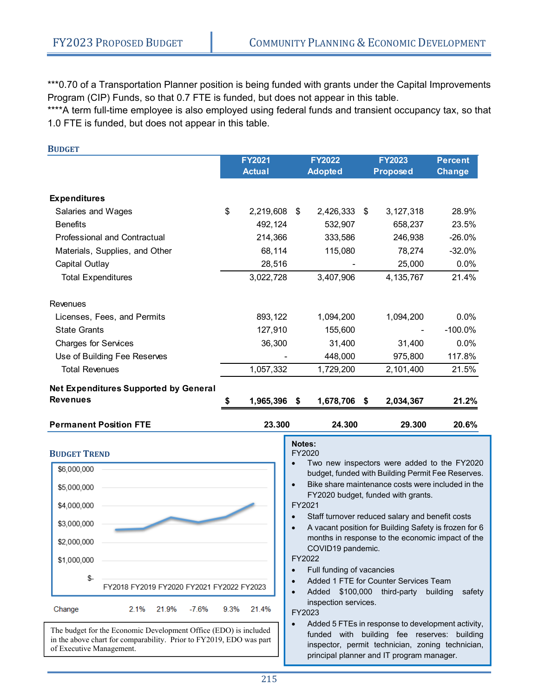\*\*\*0.70 of a Transportation Planner position is being funded with grants under the Capital Improvements Program (CIP) Funds, so that 0.7 FTE is funded, but does not appear in this table.

\*\*\*\*A term full-time employee is also employed using federal funds and transient occupancy tax, so that 1.0 FTE is funded, but does not appear in this table.

| <b>BUDGET</b>                                |                 |    |                |                 |                |
|----------------------------------------------|-----------------|----|----------------|-----------------|----------------|
|                                              | <b>FY2021</b>   |    | <b>FY2022</b>  | <b>FY2023</b>   | <b>Percent</b> |
|                                              | <b>Actual</b>   |    | <b>Adopted</b> | <b>Proposed</b> | <b>Change</b>  |
| <b>Expenditures</b>                          |                 |    |                |                 |                |
| Salaries and Wages                           | \$<br>2,219,608 | \$ | 2,426,333      | \$<br>3,127,318 | 28.9%          |
| <b>Benefits</b>                              | 492,124         |    | 532,907        | 658,237         | 23.5%          |
| <b>Professional and Contractual</b>          | 214,366         |    | 333,586        | 246,938         | $-26.0%$       |
| Materials, Supplies, and Other               | 68,114          |    | 115,080        | 78,274          | $-32.0%$       |
| <b>Capital Outlay</b>                        | 28,516          |    |                | 25,000          | 0.0%           |
| <b>Total Expenditures</b>                    | 3,022,728       |    | 3,407,906      | 4, 135, 767     | 21.4%          |
| Revenues                                     |                 |    |                |                 |                |
| Licenses, Fees, and Permits                  | 893,122         |    | 1,094,200      | 1,094,200       | 0.0%           |
| <b>State Grants</b>                          | 127,910         |    | 155,600        |                 | $-100.0\%$     |
| <b>Charges for Services</b>                  | 36,300          |    | 31,400         | 31,400          | 0.0%           |
| Use of Building Fee Reserves                 |                 |    | 448,000        | 975,800         | 117.8%         |
| <b>Total Revenues</b>                        | 1,057,332       |    | 1,729,200      | 2,101,400       | 21.5%          |
| <b>Net Expenditures Supported by General</b> |                 |    |                |                 |                |
| <b>Revenues</b>                              | 1,965,396       | S. | 1,678,706 \$   | 2,034,367       | 21.2%          |
| <b>Permanent Position FTE</b>                | 23.300          |    | 24.300         | 29.300          | 20.6%          |



in the above chart for comparability. Prior to FY2019, EDO was part of Executive Management.

#### **Notes:**  FY2020

 Two new inspectors were added to the FY2020 budget, funded with Building Permit Fee Reserves.

 Bike share maintenance costs were included in the FY2020 budget, funded with grants.

#### FY2021

- Staff turnover reduced salary and benefit costs
- A vacant position for Building Safety is frozen for 6 months in response to the economic impact of the COVID19 pandemic.

FY2022

- Full funding of vacancies
	- Added 1 FTE for Counter Services Team
- Added \$100,000 third-party building safety inspection services.

FY2023

 Added 5 FTEs in response to development activity, funded with building fee reserves: building inspector, permit technician, zoning technician, principal planner and IT program manager.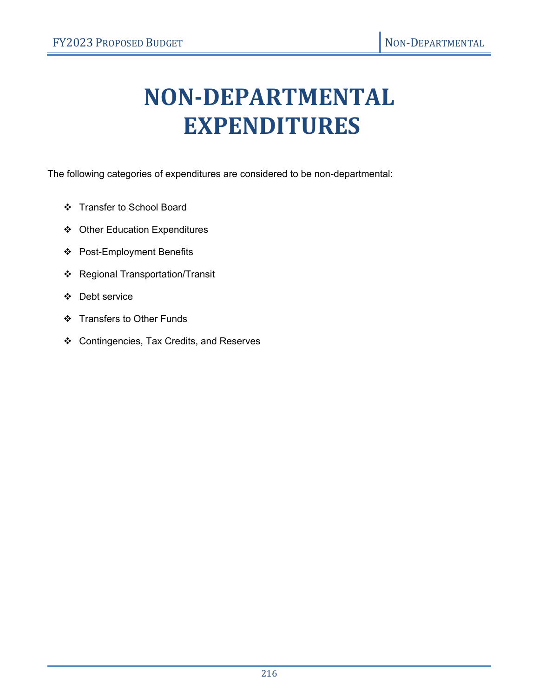# **NON‐DEPARTMENTAL EXPENDITURES**

The following categories of expenditures are considered to be non-departmental:

- Transfer to School Board
- Other Education Expenditures
- Post-Employment Benefits
- Regional Transportation/Transit
- Debt service
- Transfers to Other Funds
- Contingencies, Tax Credits, and Reserves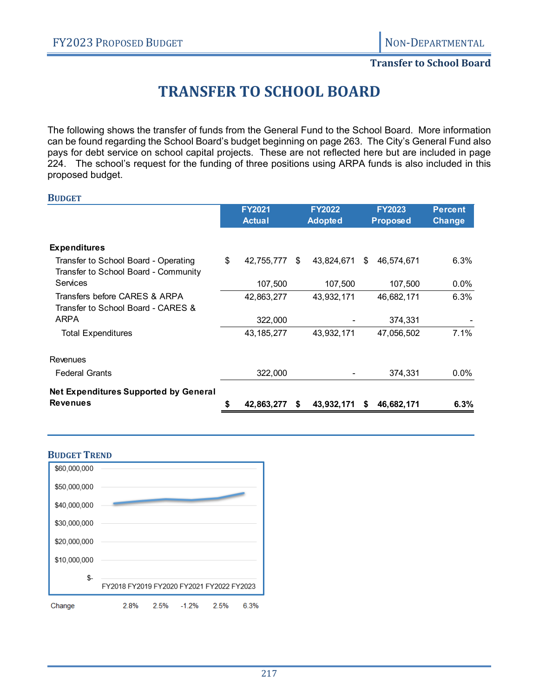#### **Transfer to School Board**

# **TRANSFER TO SCHOOL BOARD**

The following shows the transfer of funds from the General Fund to the School Board. More information can be found regarding the School Board's budget beginning on page 263. The City's General Fund also pays for debt service on school capital projects. These are not reflected here but are included in page 224. The school's request for the funding of three positions using ARPA funds is also included in this proposed budget.

|                                                                              | <b>FY2021</b>    |   | <b>FY2022</b>  |     | <b>FY2023</b>   | <b>Percent</b> |
|------------------------------------------------------------------------------|------------------|---|----------------|-----|-----------------|----------------|
|                                                                              | <b>Actual</b>    |   | <b>Adopted</b> |     | <b>Proposed</b> | <b>Change</b>  |
|                                                                              |                  |   |                |     |                 |                |
| <b>Expenditures</b>                                                          |                  |   |                |     |                 |                |
| Transfer to School Board - Operating<br>Transfer to School Board - Community | \$<br>42,755,777 | S | 43,824,671     | \$. | 46,574,671      | 6.3%           |
| Services                                                                     | 107,500          |   | 107,500        |     | 107,500         | $0.0\%$        |
| Transfers before CARES & ARPA<br>Transfer to School Board - CARES &          | 42,863,277       |   | 43,932,171     |     | 46,682,171      | 6.3%           |
| <b>ARPA</b>                                                                  | 322,000          |   |                |     | 374,331         |                |
| <b>Total Expenditures</b>                                                    | 43, 185, 277     |   | 43,932,171     |     | 47,056,502      | 7.1%           |
| Revenues                                                                     |                  |   |                |     |                 |                |
| <b>Federal Grants</b>                                                        | 322,000          |   |                |     | 374,331         | $0.0\%$        |
| <b>Net Expenditures Supported by General</b>                                 |                  |   |                |     |                 |                |
| <b>Revenues</b>                                                              | 42,863,277       | S | 43,932,171     | S   | 46,682,171      | $6.3\%$        |

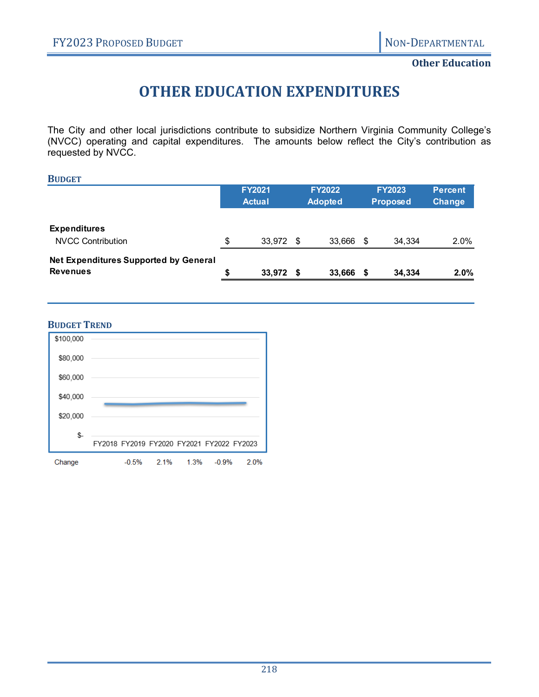#### **Other Education**

# **OTHER EDUCATION EXPENDITURES**

The City and other local jurisdictions contribute to subsidize Northern Virginia Community College's (NVCC) operating and capital expenditures. The amounts below reflect the City's contribution as requested by NVCC.

| <b>BUDGET</b>                                            |                                |      |                                 |    |                           |                                 |
|----------------------------------------------------------|--------------------------------|------|---------------------------------|----|---------------------------|---------------------------------|
|                                                          | <b>FY2021</b><br><b>Actual</b> |      | <b>FY2022</b><br><b>Adopted</b> |    | <b>FY2023</b><br>Proposed | <b>Percent</b><br><b>Change</b> |
| <b>Expenditures</b><br><b>NVCC Contribution</b>          | \$<br>33,972                   | - \$ | 33,666                          | \$ | 34,334                    | $2.0\%$                         |
| Net Expenditures Supported by General<br><b>Revenues</b> | \$<br>33,972                   | - \$ | 33,666                          | S  | 34,334                    | $2.0\%$                         |

#### **BUDGET TREND**

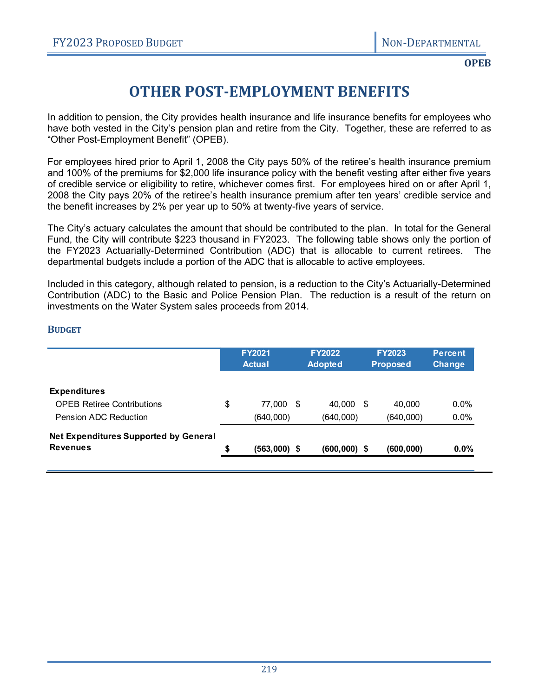**OPEB**

# **OTHER POST‐EMPLOYMENT BENEFITS**

In addition to pension, the City provides health insurance and life insurance benefits for employees who have both vested in the City's pension plan and retire from the City. Together, these are referred to as "Other Post-Employment Benefit" (OPEB).

For employees hired prior to April 1, 2008 the City pays 50% of the retiree's health insurance premium and 100% of the premiums for \$2,000 life insurance policy with the benefit vesting after either five years of credible service or eligibility to retire, whichever comes first. For employees hired on or after April 1, 2008 the City pays 20% of the retiree's health insurance premium after ten years' credible service and the benefit increases by 2% per year up to 50% at twenty-five years of service.

The City's actuary calculates the amount that should be contributed to the plan. In total for the General Fund, the City will contribute \$223 thousand in FY2023. The following table shows only the portion of the FY2023 Actuarially-Determined Contribution (ADC) that is allocable to current retirees. The departmental budgets include a portion of the ADC that is allocable to active employees.

Included in this category, although related to pension, is a reduction to the City's Actuarially-Determined Contribution (ADC) to the Basic and Police Pension Plan. The reduction is a result of the return on investments on the Water System sales proceeds from 2014.

#### **BUDGET**

|    | <b>FY2021</b><br><b>Actual</b> | <b>FY2022</b><br><b>Adopted</b> |      | <b>FY2023</b><br><b>Proposed</b> | <b>Percent</b><br><b>Change</b> |
|----|--------------------------------|---------------------------------|------|----------------------------------|---------------------------------|
|    |                                |                                 |      |                                  |                                 |
| \$ |                                | 40.000                          | - \$ | 40.000                           | $0.0\%$                         |
|    | (640,000)                      | (640,000)                       |      | (640,000)                        | 0.0%                            |
|    |                                |                                 |      |                                  |                                 |
| S  |                                |                                 |      | (600, 000)                       | $0.0\%$                         |
|    |                                | 77,000 \$<br>$(563,000)$ \$     |      | $(600,000)$ \$                   |                                 |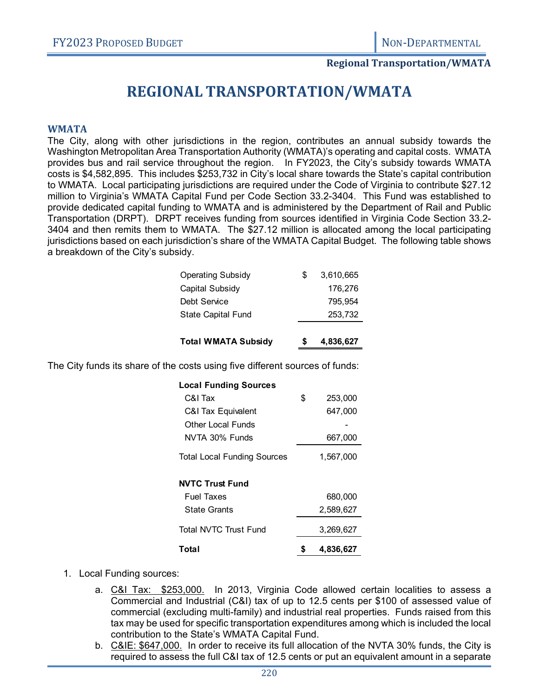#### **Regional Transportation/WMATA**

## **REGIONAL TRANSPORTATION/WMATA**

#### **WMATA**

The City, along with other jurisdictions in the region, contributes an annual subsidy towards the Washington Metropolitan Area Transportation Authority (WMATA)'s operating and capital costs. WMATA provides bus and rail service throughout the region. In FY2023, the City's subsidy towards WMATA costs is \$4,582,895. This includes \$253,732 in City's local share towards the State's capital contribution to WMATA. Local participating jurisdictions are required under the Code of Virginia to contribute \$27.12 million to Virginia's WMATA Capital Fund per Code Section 33.2-3404. This Fund was established to provide dedicated capital funding to WMATA and is administered by the Department of Rail and Public Transportation (DRPT). DRPT receives funding from sources identified in Virginia Code Section 33.2- 3404 and then remits them to WMATA. The \$27.12 million is allocated among the local participating jurisdictions based on each jurisdiction's share of the WMATA Capital Budget. The following table shows a breakdown of the City's subsidy.

| <b>Total WMATA Subsidy</b> | 4,836,627 |
|----------------------------|-----------|
| <b>State Capital Fund</b>  | 253,732   |
| Debt Service               | 795,954   |
| Capital Subsidy            | 176,276   |
| <b>Operating Subsidy</b>   | 3,610,665 |

The City funds its share of the costs using five different sources of funds:

| <b>Local Funding Sources</b>       |    |           |
|------------------------------------|----|-----------|
| C&I Tax                            | \$ | 253,000   |
| C&I Tax Equivalent                 |    | 647,000   |
| Other Local Funds                  |    |           |
| NVTA 30% Funds                     |    | 667,000   |
| <b>Total Local Funding Sources</b> |    | 1,567,000 |
| <b>NVTC Trust Fund</b>             |    |           |
| <b>Fuel Taxes</b>                  |    | 680,000   |
| State Grants                       |    | 2,589,627 |
| <b>Total NVTC Trust Fund</b>       |    | 3,269,627 |
| Total                              | 5  | 4,836,627 |

- 1. Local Funding sources:
	- a. C&I Tax: \$253,000. In 2013, Virginia Code allowed certain localities to assess a Commercial and Industrial (C&I) tax of up to 12.5 cents per \$100 of assessed value of commercial (excluding multi-family) and industrial real properties. Funds raised from this tax may be used for specific transportation expenditures among which is included the local contribution to the State's WMATA Capital Fund.
	- b. C&IE: \$647,000. In order to receive its full allocation of the NVTA 30% funds, the City is required to assess the full C&I tax of 12.5 cents or put an equivalent amount in a separate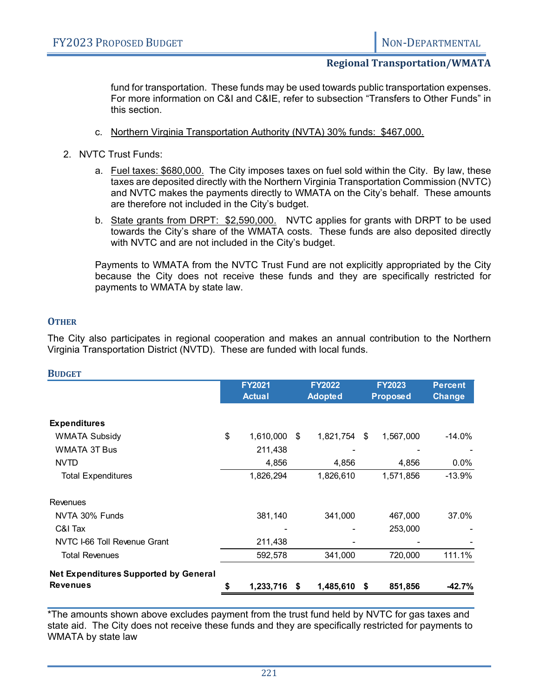#### **Regional Transportation/WMATA**

fund for transportation. These funds may be used towards public transportation expenses. For more information on C&I and C&IE, refer to subsection "Transfers to Other Funds" in this section.

- c. Northern Virginia Transportation Authority (NVTA) 30% funds: \$467,000.
- 2. NVTC Trust Funds:
	- a. Fuel taxes: \$680,000. The City imposes taxes on fuel sold within the City. By law, these taxes are deposited directly with the Northern Virginia Transportation Commission (NVTC) and NVTC makes the payments directly to WMATA on the City's behalf. These amounts are therefore not included in the City's budget.
	- b. State grants from DRPT: \$2,590,000. NVTC applies for grants with DRPT to be used towards the City's share of the WMATA costs. These funds are also deposited directly with NVTC and are not included in the City's budget.

Payments to WMATA from the NVTC Trust Fund are not explicitly appropriated by the City because the City does not receive these funds and they are specifically restricted for payments to WMATA by state law.

#### **OTHER**

The City also participates in regional cooperation and makes an annual contribution to the Northern Virginia Transportation District (NVTD). These are funded with local funds.

| <b>BUDGET</b>                                |               |               |    |                |    |                 |                |
|----------------------------------------------|---------------|---------------|----|----------------|----|-----------------|----------------|
|                                              | <b>FY2021</b> |               |    | <b>FY2022</b>  |    | <b>FY2023</b>   | <b>Percent</b> |
|                                              |               | <b>Actual</b> |    | <b>Adopted</b> |    | <b>Proposed</b> | <b>Change</b>  |
| <b>Expenditures</b>                          |               |               |    |                |    |                 |                |
| <b>WMATA Subsidy</b>                         | \$            | 1,610,000     | \$ | 1,821,754      | \$ | 1,567,000       | $-14.0\%$      |
| <b>WMATA 3T Bus</b>                          |               | 211,438       |    |                |    |                 |                |
| <b>NVTD</b>                                  |               | 4,856         |    | 4,856          |    | 4,856           | 0.0%           |
| <b>Total Expenditures</b>                    |               | 1,826,294     |    | 1,826,610      |    | 1,571,856       | $-13.9%$       |
| Revenues                                     |               |               |    |                |    |                 |                |
| NVTA 30% Funds                               |               | 381,140       |    | 341,000        |    | 467,000         | 37.0%          |
| C&I Tax                                      |               | ۰             |    |                |    | 253,000         |                |
| NVTC I-66 Toll Revenue Grant                 |               | 211,438       |    |                |    |                 |                |
| <b>Total Revenues</b>                        |               | 592,578       |    | 341,000        |    | 720,000         | 111.1%         |
| <b>Net Expenditures Supported by General</b> |               |               |    |                |    |                 |                |
| <b>Revenues</b>                              |               | 1,233,716     | S  | 1,485,610      | \$ | 851,856         | -42.7%         |

\*The amounts shown above excludes payment from the trust fund held by NVTC for gas taxes and state aid. The City does not receive these funds and they are specifically restricted for payments to WMATA by state law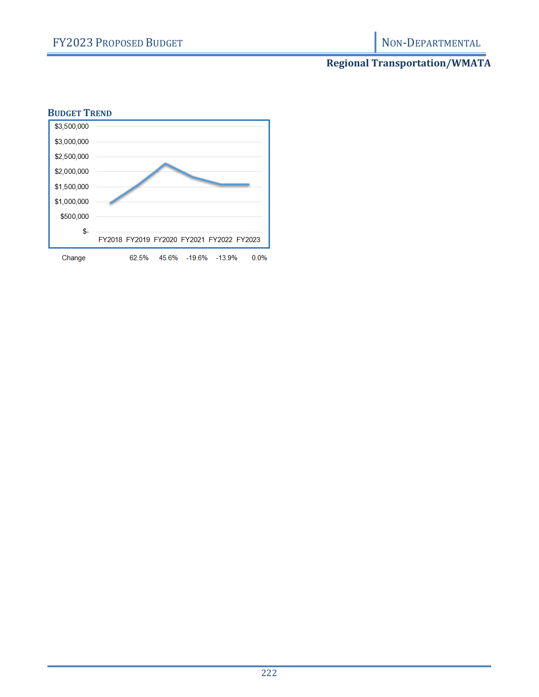### **Regional Transportation/WMATA**

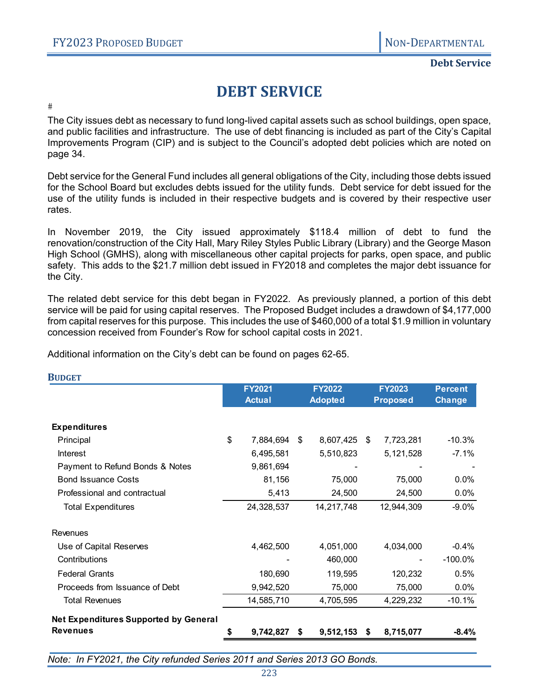**Debt Service**

# **DEBT SERVICE**

 $#$ 

The City issues debt as necessary to fund long-lived capital assets such as school buildings, open space, and public facilities and infrastructure. The use of debt financing is included as part of the City's Capital Improvements Program (CIP) and is subject to the Council's adopted debt policies which are noted on page 34.

Debt service for the General Fund includes all general obligations of the City, including those debts issued for the School Board but excludes debts issued for the utility funds. Debt service for debt issued for the use of the utility funds is included in their respective budgets and is covered by their respective user rates.

In November 2019, the City issued approximately \$118.4 million of debt to fund the renovation/construction of the City Hall, Mary Riley Styles Public Library (Library) and the George Mason High School (GMHS), along with miscellaneous other capital projects for parks, open space, and public safety. This adds to the \$21.7 million debt issued in FY2018 and completes the major debt issuance for the City.

The related debt service for this debt began in FY2022. As previously planned, a portion of this debt service will be paid for using capital reserves. The Proposed Budget includes a drawdown of \$4,177,000 from capital reserves for this purpose. This includes the use of \$460,000 of a total \$1.9 million in voluntary concession received from Founder's Row for school capital costs in 2021.

Additional information on the City's debt can be found on pages 62-65.

|                                              | <b>FY2021</b><br><b>FY2022</b> |    | <b>FY2023</b>  |    | <b>Percent</b>  |               |
|----------------------------------------------|--------------------------------|----|----------------|----|-----------------|---------------|
|                                              | <b>Actual</b>                  |    | <b>Adopted</b> |    | <b>Proposed</b> | <b>Change</b> |
| <b>Expenditures</b>                          |                                |    |                |    |                 |               |
| Principal                                    | \$<br>7,884,694                | \$ | 8,607,425 \$   |    | 7,723,281       | $-10.3%$      |
| Interest                                     | 6,495,581                      |    | 5,510,823      |    | 5,121,528       | $-7.1%$       |
| Payment to Refund Bonds & Notes              | 9,861,694                      |    |                |    |                 |               |
| <b>Bond Issuance Costs</b>                   | 81,156                         |    | 75,000         |    | 75,000          | 0.0%          |
| Professional and contractual                 | 5,413                          |    | 24,500         |    | 24,500          | $0.0\%$       |
| <b>Total Expenditures</b>                    | 24,328,537                     |    | 14,217,748     |    | 12,944,309      | $-9.0%$       |
| Revenues                                     |                                |    |                |    |                 |               |
| Use of Capital Reserves                      | 4,462,500                      |    | 4,051,000      |    | 4,034,000       | $-0.4%$       |
| Contributions                                |                                |    | 460,000        |    |                 | $-100.0\%$    |
| <b>Federal Grants</b>                        | 180,690                        |    | 119,595        |    | 120,232         | 0.5%          |
| Proceeds from Issuance of Debt               | 9,942,520                      |    | 75,000         |    | 75,000          | $0.0\%$       |
| <b>Total Revenues</b>                        | 14,585,710                     |    | 4,705,595      |    | 4,229,232       | $-10.1%$      |
| <b>Net Expenditures Supported by General</b> |                                |    |                |    |                 |               |
| <b>Revenues</b>                              | 9,742,827                      | S. | 9,512,153      | -S | 8,715,077       | $-8.4%$       |

**BUDGET**

*Note: In FY2021, the City refunded Series 2011 and Series 2013 GO Bonds.*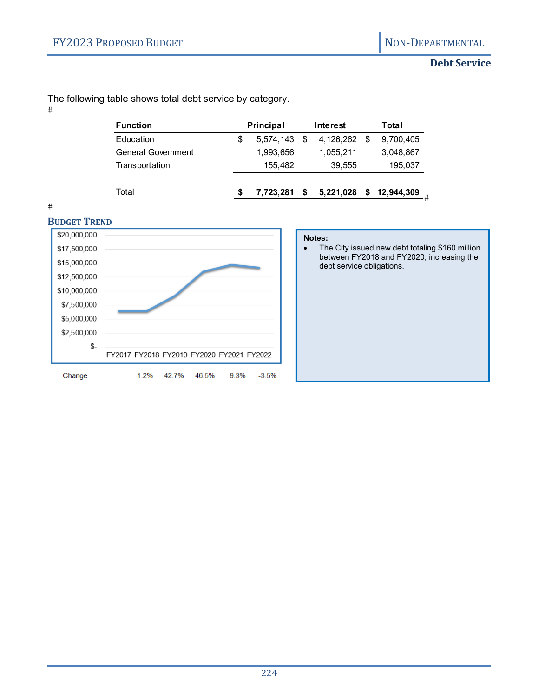#### **Debt Service**

The following table shows total debt service by category.

 $\#$ 

| <b>Function</b>    |    | <b>Principal</b> |   | Interest  | Total |            |  |
|--------------------|----|------------------|---|-----------|-------|------------|--|
| Education          | \$ | $5.574.143$ \$   |   | 4,126,262 | - \$  | 9,700,405  |  |
| General Government |    | 1,993,656        |   | 1,055,211 |       | 3,048,867  |  |
| Transportation     |    | 155.482          |   | 39,555    |       | 195,037    |  |
| Total              | S  | 7,723,281        | S | 5,221,028 | \$    | 12,944,309 |  |
|                    |    |                  |   |           |       |            |  |

 $#$ 



#### **Notes:**

• The City issued new debt totaling \$160 million between FY2018 and FY2020, increasing the debt service obligations.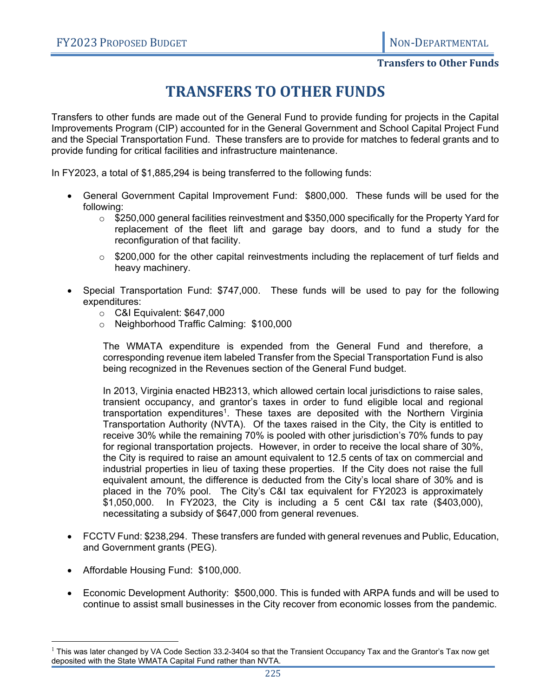#### **Transfers to Other Funds**

# **TRANSFERS TO OTHER FUNDS**

Transfers to other funds are made out of the General Fund to provide funding for projects in the Capital Improvements Program (CIP) accounted for in the General Government and School Capital Project Fund and the Special Transportation Fund. These transfers are to provide for matches to federal grants and to provide funding for critical facilities and infrastructure maintenance.

In FY2023, a total of \$1,885,294 is being transferred to the following funds:

- General Government Capital Improvement Fund: \$800,000. These funds will be used for the following:
	- $\circ$  \$250,000 general facilities reinvestment and \$350,000 specifically for the Property Yard for replacement of the fleet lift and garage bay doors, and to fund a study for the reconfiguration of that facility.
	- $\circ$  \$200,000 for the other capital reinvestments including the replacement of turf fields and heavy machinery.
- Special Transportation Fund: \$747,000. These funds will be used to pay for the following expenditures:
	- o C&I Equivalent: \$647,000
	- o Neighborhood Traffic Calming: \$100,000

The WMATA expenditure is expended from the General Fund and therefore, a corresponding revenue item labeled Transfer from the Special Transportation Fund is also being recognized in the Revenues section of the General Fund budget.

In 2013, Virginia enacted HB2313, which allowed certain local jurisdictions to raise sales, transient occupancy, and grantor's taxes in order to fund eligible local and regional transportation expenditures<sup>1</sup>. These taxes are deposited with the Northern Virginia Transportation Authority (NVTA). Of the taxes raised in the City, the City is entitled to receive 30% while the remaining 70% is pooled with other jurisdiction's 70% funds to pay for regional transportation projects. However, in order to receive the local share of 30%, the City is required to raise an amount equivalent to 12.5 cents of tax on commercial and industrial properties in lieu of taxing these properties. If the City does not raise the full equivalent amount, the difference is deducted from the City's local share of 30% and is placed in the 70% pool. The City's C&I tax equivalent for FY2023 is approximately \$1,050,000. In FY2023, the City is including a 5 cent C&I tax rate (\$403,000), necessitating a subsidy of \$647,000 from general revenues.

- FCCTV Fund: \$238,294. These transfers are funded with general revenues and Public, Education, and Government grants (PEG).
- Affordable Housing Fund: \$100,000.

 $\overline{a}$ 

 Economic Development Authority: \$500,000. This is funded with ARPA funds and will be used to continue to assist small businesses in the City recover from economic losses from the pandemic.

 $^1$  This was later changed by VA Code Section 33.2-3404 so that the Transient Occupancy Tax and the Grantor's Tax now get deposited with the State WMATA Capital Fund rather than NVTA.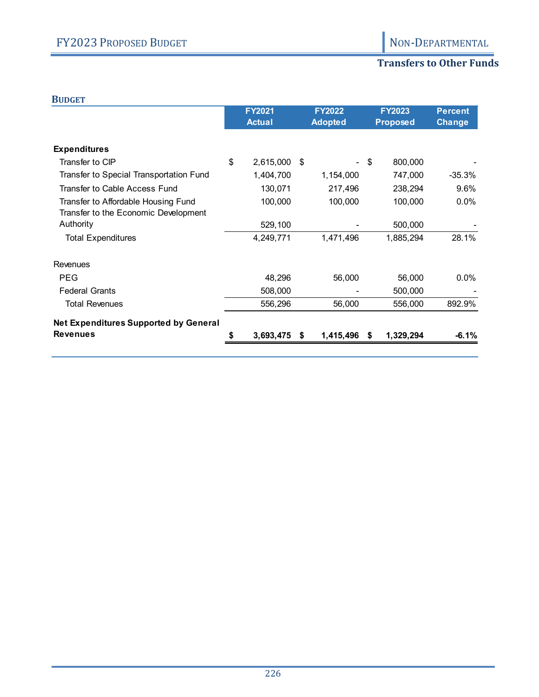### **Transfers to Other Funds**

#### **BUDGET**

|                                                                             | FY2021<br><b>Actual</b> |    | <b>FY2022</b><br><b>Adopted</b> | <b>FY2023</b><br><b>Proposed</b> |           | <b>Percent</b><br><b>Change</b> |
|-----------------------------------------------------------------------------|-------------------------|----|---------------------------------|----------------------------------|-----------|---------------------------------|
| <b>Expenditures</b>                                                         |                         |    |                                 |                                  |           |                                 |
| Transfer to CIP                                                             | \$<br>2,615,000         | S  | Ξ.                              | - \$                             | 800,000   |                                 |
| Transfer to Special Transportation Fund                                     | 1,404,700               |    | 1,154,000                       |                                  | 747,000   | $-35.3%$                        |
| Transfer to Cable Access Fund                                               | 130,071                 |    | 217,496                         |                                  | 238,294   | 9.6%                            |
| Transfer to Affordable Housing Fund<br>Transfer to the Economic Development | 100,000                 |    | 100,000                         |                                  | 100,000   | 0.0%                            |
| Authority                                                                   | 529,100                 |    |                                 |                                  | 500,000   |                                 |
| <b>Total Expenditures</b>                                                   | 4,249,771               |    | 1,471,496                       |                                  | 1,885,294 | 28.1%                           |
| <b>Revenues</b>                                                             |                         |    |                                 |                                  |           |                                 |
| <b>PEG</b>                                                                  | 48,296                  |    | 56,000                          |                                  | 56,000    | 0.0%                            |
| <b>Federal Grants</b>                                                       | 508,000                 |    |                                 |                                  | 500,000   |                                 |
| <b>Total Revenues</b>                                                       | 556,296                 |    | 56,000                          |                                  | 556,000   | 892.9%                          |
| <b>Net Expenditures Supported by General</b>                                |                         |    |                                 |                                  |           |                                 |
| <b>Revenues</b>                                                             | 3,693,475               | S. | 1,415,496                       | S.                               | 1,329,294 | $-6.1%$                         |
|                                                                             |                         |    |                                 |                                  |           |                                 |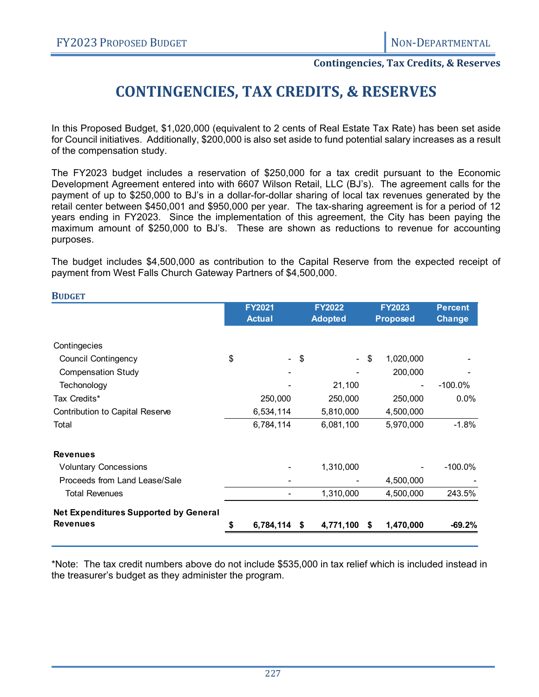**BUDGET**

#### **Contingencies, Tax Credits, & Reserves**

# **CONTINGENCIES, TAX CREDITS, & RESERVES**

In this Proposed Budget, \$1,020,000 (equivalent to 2 cents of Real Estate Tax Rate) has been set aside for Council initiatives. Additionally, \$200,000 is also set aside to fund potential salary increases as a result of the compensation study.

The FY2023 budget includes a reservation of \$250,000 for a tax credit pursuant to the Economic Development Agreement entered into with 6607 Wilson Retail, LLC (BJ's). The agreement calls for the payment of up to \$250,000 to BJ's in a dollar-for-dollar sharing of local tax revenues generated by the retail center between \$450,001 and \$950,000 per year. The tax-sharing agreement is for a period of 12 years ending in FY2023. Since the implementation of this agreement, the City has been paying the maximum amount of \$250,000 to BJ's. These are shown as reductions to revenue for accounting purposes.

The budget includes \$4,500,000 as contribution to the Capital Reserve from the expected receipt of payment from West Falls Church Gateway Partners of \$4,500,000.

|                                              | <b>FY2021</b><br><b>Actual</b> |                |      | <b>FY2022</b><br><b>Adopted</b> |    | FY2023<br><b>Proposed</b> | <b>Percent</b><br><b>Change</b> |  |
|----------------------------------------------|--------------------------------|----------------|------|---------------------------------|----|---------------------------|---------------------------------|--|
| Contingecies                                 |                                |                |      |                                 |    |                           |                                 |  |
| <b>Council Contingency</b>                   | \$                             | $\blacksquare$ | \$   | $\sim$                          | \$ | 1,020,000                 |                                 |  |
| <b>Compensation Study</b>                    |                                |                |      |                                 |    | 200,000                   |                                 |  |
| Techonology                                  |                                |                |      | 21,100                          |    | ٠                         | $-100.0\%$                      |  |
| Tax Credits*                                 |                                | 250,000        |      | 250,000                         |    | 250,000                   | 0.0%                            |  |
| <b>Contribution to Capital Reserve</b>       |                                | 6,534,114      |      | 5,810,000                       |    | 4,500,000                 |                                 |  |
| Total                                        |                                | 6,784,114      |      | 6,081,100                       |    | 5,970,000                 | $-1.8%$                         |  |
| <b>Revenues</b>                              |                                |                |      |                                 |    |                           |                                 |  |
| <b>Voluntary Concessions</b>                 |                                |                |      | 1,310,000                       |    |                           | $-100.0\%$                      |  |
| Proceeds from Land Lease/Sale                |                                |                |      |                                 |    | 4,500,000                 |                                 |  |
| <b>Total Revenues</b>                        |                                |                |      | 1,310,000                       |    | 4,500,000                 | 243.5%                          |  |
| <b>Net Expenditures Supported by General</b> |                                |                |      |                                 |    |                           |                                 |  |
| <b>Revenues</b>                              |                                | 6,784,114      | - \$ | 4,771,100                       | S. | 1,470,000                 | $-69.2\%$                       |  |

\*Note: The tax credit numbers above do not include \$535,000 in tax relief which is included instead in the treasurer's budget as they administer the program.